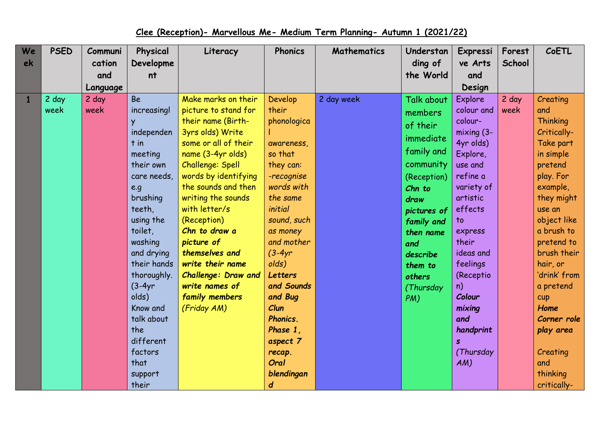## **Clee (Reception)- Marvellous Me- Medium Term Planning- Autumn 1 (2021/22)**

| We | <b>PSED</b> | Communi  | Physical    | Literacy             | <b>Phonics</b> | <b>Mathematics</b> | Understan         | Expressi       | Forest | CoETL           |
|----|-------------|----------|-------------|----------------------|----------------|--------------------|-------------------|----------------|--------|-----------------|
| ek |             | cation   | Developme   |                      |                |                    | ding of           | ve Arts        | School |                 |
|    |             | and      | nt          |                      |                |                    | the World         | and            |        |                 |
|    |             | Language |             |                      |                |                    |                   | Design         |        |                 |
|    | 2 day       | 2 day    | <b>Be</b>   | Make marks on their  | Develop        | 2 day week         | <b>Talk about</b> | <b>Explore</b> | 2 day  | Creating        |
|    | week        | week     | increasingl | picture to stand for | their          |                    | members           | colour and     | week   | and             |
|    |             |          |             | their name (Birth-   | phonologica    |                    | of their          | colour-        |        | <b>Thinking</b> |
|    |             |          | independen  | 3yrs olds) Write     |                |                    | immediate         | $mixing(3-)$   |        | Critically-     |
|    |             |          | $t$ in      | some or all of their | awareness,     |                    |                   | 4yr olds)      |        | Take part       |
|    |             |          | meeting     | name (3-4yr olds)    | so that        |                    | family and        | Explore,       |        | in simple       |
|    |             |          | their own   | Challenge: Spell     | they can:      |                    | community         | use and        |        | pretend         |
|    |             |          | care needs, | words by identifying | -recognise     |                    | (Reception)       | refine a       |        | play. For       |
|    |             |          | e.g         | the sounds and then  | words with     |                    | Chn to            | variety of     |        | example,        |
|    |             |          | brushing    | writing the sounds   | the same       |                    | draw              | artistic       |        | they might      |
|    |             |          | teeth,      | with letter/s        | initial        |                    | pictures of       | effects        |        | use an          |
|    |             |          | using the   | (Reception)          | sound, such    |                    | family and        | $\mathsf{to}$  |        | object like     |
|    |             |          | toilet,     | Chn to draw a        | as money       |                    | then name         | express        |        | a brush to      |
|    |             |          | washing     | picture of           | and mother     |                    | and               | their          |        | pretend to      |
|    |             |          | and drying  | themselves and       | $(3-4yr)$      |                    | describe          | ideas and      |        | brush their     |
|    |             |          | their hands | write their name     | olds)          |                    | them to           | feelings       |        | hair, or        |
|    |             |          | thoroughly. | Challenge: Draw and  | <b>Letters</b> |                    | others            | (Receptio      |        | 'drink' from    |
|    |             |          | $(3-4yr)$   | write names of       | and Sounds     |                    | (Thursday         | n)             |        | a pretend       |
|    |             |          | olds)       | family members       | and Bug        |                    | PM)               | Colour         |        | cup             |
|    |             |          | Know and    | (Friday AM)          | Clun           |                    |                   | mixing         |        | Home            |
|    |             |          | talk about  |                      | Phonics.       |                    |                   | and            |        | Corner role     |
|    |             |          | the         |                      | Phase 1,       |                    |                   | handprint      |        | play area       |
|    |             |          | different   |                      | aspect 7       |                    |                   | $\mathbf{s}$   |        |                 |
|    |             |          | factors     |                      | recap.         |                    |                   | (Thursday      |        | Creating        |
|    |             |          | that        |                      | Oral           |                    |                   | AM)            |        | and             |
|    |             |          | support     |                      | blendingan     |                    |                   |                |        | thinking        |
|    |             |          | their       |                      | d              |                    |                   |                |        | critically-     |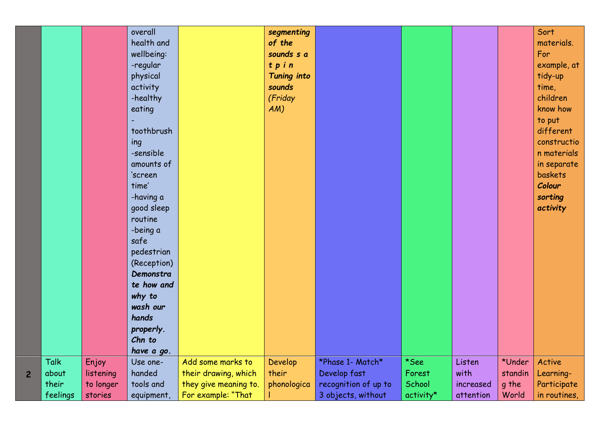| physical<br>Tuning into<br>sounds<br>activity<br>(Friday<br>-healthy<br>eating<br>$AM$ )<br>toothbrush<br>ing<br>-sensible<br>amounts of<br>'screen<br>time'<br>-having a<br>good sleep<br>routine<br>-being a<br>safe<br>pedestrian<br>(Reception)<br>Demonstra<br>te how and<br>why to<br>wash our<br>hands<br>properly.<br>Chn to<br>have a go.<br>Talk<br>Enjoy<br>Develop<br>*See<br>Add some marks to<br>*Phase 1- Match*<br>Listen<br>Use one- | know how<br>to put<br>different<br>constructio<br>n materials<br>in separate<br>baskets<br>Colour<br>sorting<br>activity<br>*Under<br>Active |  |
|-------------------------------------------------------------------------------------------------------------------------------------------------------------------------------------------------------------------------------------------------------------------------------------------------------------------------------------------------------------------------------------------------------------------------------------------------------|----------------------------------------------------------------------------------------------------------------------------------------------|--|
| handed<br>their drawing, which<br>their<br>Develop fast<br>with<br>Forest<br>about<br>listening<br>$\overline{2}$                                                                                                                                                                                                                                                                                                                                     | standin<br>Learning-                                                                                                                         |  |
| they give meaning to.<br>recognition of up to<br>their<br>phonologica<br>School<br>to longer<br>tools and<br>increased                                                                                                                                                                                                                                                                                                                                | Participate<br>g the                                                                                                                         |  |
| For example: "That<br>3 objects, without<br>feelings<br>activity*<br>stories<br>attention<br>equipment,                                                                                                                                                                                                                                                                                                                                               | World<br>in routines,                                                                                                                        |  |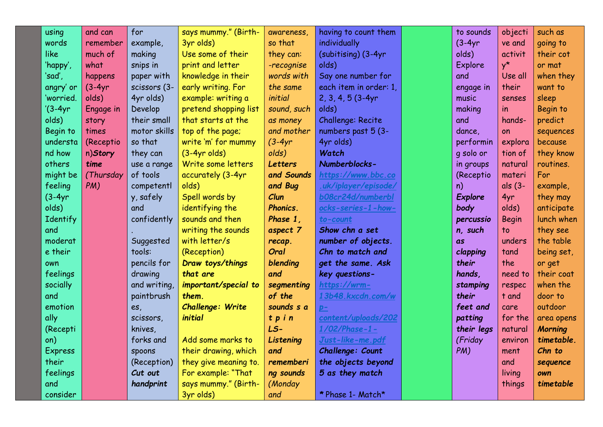| using          | and can   | for          | says mummy." (Birth-  | awareness,     | having to count them   | to sounds      | objecti      | such as        |
|----------------|-----------|--------------|-----------------------|----------------|------------------------|----------------|--------------|----------------|
| words          | remember  | example,     | 3yr olds)             | so that        | individually           | $(3-4yr)$      | ve and       | going to       |
| like           | much of   | making       | Use some of their     | they can:      | (subitising) (3-4yr    | olds)          | activit      | their cot      |
| 'happy',       | what      | snips in     | print and letter      | -recognise     | olds)                  | Explore        | $y^{\star}$  | or mat         |
| 'sad',         | happens   | paper with   | knowledge in their    | words with     | Say one number for     | and            | Use all      | when they      |
| angry' or      | $(3-4yr)$ | scissors (3- | early writing. For    | the same       | each item in order: 1, | engage in      | their        | want to        |
| 'worried.      | olds)     | 4yr olds)    | example: writing a    | initial        | $2, 3, 4, 5$ (3-4yr    | music          | senses       | sleep          |
| $'(3-4yr)$     | Engage in | Develop      | pretend shopping list | sound, such    | olds)                  | making         | in           | Begin to       |
| olds)          | story     | their small  | that starts at the    | as money       | Challenge: Recite      | and            | hands-       | predict        |
| Begin to       | times     | motor skills | top of the page;      | and mother     | numbers past 5 (3-     | dance,         | on           | sequences      |
| understa       | (Receptio | so that      | write 'm' for mummy   | $(3-4yr$       | 4yr olds)              | performin      | explora      | because        |
| nd how         | n)Story   | they can     | $(3-4yr$ olds)        | olds)          | Watch                  | q solo or      | tion of      | they know      |
| others         | time      | use a range  | Write some letters    | <b>Letters</b> | Numberblocks-          | in groups      | natural      | routines.      |
| might be       | (Thursday | of tools     | accurately (3-4yr     | and Sounds     | https://www.bbc.co     | (Receptio      | materi       | For            |
| feeling        | PM)       | competentl   | olds)                 | and Bug        | .uk/iplayer/episode/   | n)             | als (3-      | example,       |
| $(3-4yr)$      |           | y, safely    | Spell words by        | Clun           | b08cr24d/numberbl      | <b>Explore</b> | 4yr          | they may       |
| olds)          |           | and          | identifying the       | Phonics.       | ocks-series-1-how-     | body           | olds)        | anticipate     |
| Identify       |           | confidently  | sounds and then       | Phase 1.       | to-count               | percussio      | <b>Begin</b> | lunch when     |
| and            |           |              | writing the sounds    | aspect 7       | Show chn a set         | n, such        | to           | they see       |
| moderat        |           | Suggested    | with letter/s         | recap.         | number of objects.     | as             | unders       | the table      |
| e their        |           | tools:       | (Reception)           | Oral           | Chn to match and       | clapping       | tand         | being set,     |
| own            |           | pencils for  | Draw toys/things      | blending       | get the same. Ask      | their          | the          | or get         |
| feelings       |           | drawing      | that are              | and            | key questions-         | hands,         | need to      | their coat     |
| socially       |           | and writing, | important/special to  | segmenting     | https://wrm-           | stamping       | respec       | when the       |
| and            |           | paintbrush   | them.                 | of the         | 13b48.kxcdn.com/w      | their          | t and        | door to        |
| emotion        |           | es,          | Challenge: Write      | sounds s a     | $p-$                   | feet and       | care         | outdoor        |
| ally           |           | scissors,    | initial               | tpin           | content/uploads/202    | patting        | for the      | area opens     |
| (Recepti       |           | knives,      |                       | LS-            | $1/02$ /Phase-1-       | their legs     | natural      | <b>Morning</b> |
| on)            |           | forks and    | Add some marks to     | Listening      | Just-like-me.pdf       | (Friday        | environ      | timetable.     |
| <b>Express</b> |           | spoons       | their drawing, which  | and            | Challenge: Count       | PM)            | ment         | Chn to         |
| their          |           | (Reception)  | they give meaning to. | rememberi      | the objects beyond     |                | and          | sequence       |
| feelings       |           | Cut out      | For example: "That    | ng sounds      | 5 as they match        |                | living       | own            |
| and            |           | handprint    | says mummy." (Birth-  | (Monday        |                        |                | things       | timetable      |
| consider       |           |              | 3yr olds)             | and            | * Phase 1- Match*      |                |              |                |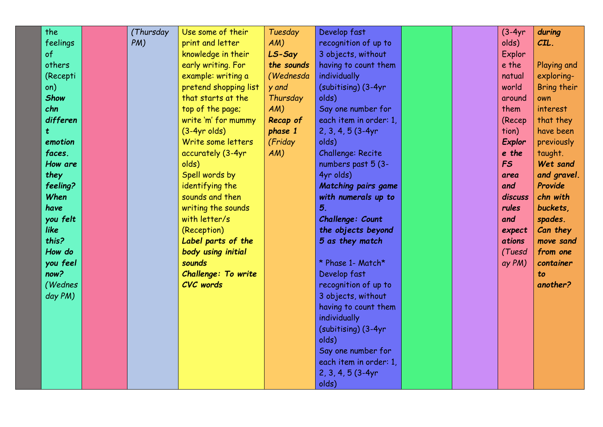| the         | (Thursday | Use some of their          | Tuesday    | Develop fast               |  | $(3-4yr)$ | during      |
|-------------|-----------|----------------------------|------------|----------------------------|--|-----------|-------------|
| feelings    | PM)       | print and letter           | AM)        | recognition of up to       |  | olds)     | $CL$ .      |
| of          |           | knowledge in their         | LS-Say     | 3 objects, without         |  | Explor    |             |
| others      |           | early writing. For         | the sounds | having to count them       |  | e the     | Playing and |
| (Recepti    |           | example: writing a         | (Wednesda  | individually               |  | natual    | exploring-  |
| on)         |           | pretend shopping list      | y and      | (subitising) (3-4yr        |  | world     | Bring their |
| <b>Show</b> |           | that starts at the         | Thursday   | olds)                      |  | around    | own         |
| chn         |           | top of the page;           | AM)        | Say one number for         |  | them      | interest    |
| differen    |           | write 'm' for mummy        | Recap of   | each item in order: 1,     |  | (Recep    | that they   |
| t.          |           | $(3-4yr$ olds)             | phase 1    | $2, 3, 4, 5$ (3-4yr        |  | tion)     | have been   |
| emotion     |           | Write some letters         | (Friday    | olds)                      |  | Explor    | previously  |
| faces.      |           | accurately (3-4yr          | AM)        | Challenge: Recite          |  | e the     | taught.     |
| How are     |           | olds)                      |            | numbers past 5 (3-         |  | FS        | Wet sand    |
| they        |           | Spell words by             |            | 4yr olds)                  |  | area      | and gravel. |
| feeling?    |           | identifying the            |            | <b>Matching pairs game</b> |  | and       | Provide     |
| When        |           | sounds and then            |            | with numerals up to        |  | discuss   | chn with    |
| have        |           | writing the sounds         |            | 5.                         |  | rules     | buckets,    |
| you felt    |           | with letter/s              |            | Challenge: Count           |  | and       | spades.     |
| like        |           | (Reception)                |            | the objects beyond         |  | expect    | Can they    |
| this?       |           | Label parts of the         |            | 5 as they match            |  | ations    | move sand   |
| How do      |           | body using initial         |            |                            |  | (Tuesd    | from one    |
| you feel    |           | sounds                     |            | * Phase 1- Match*          |  | ay PM)    | container   |
| now?        |           | <b>Challenge: To write</b> |            | Develop fast               |  |           | to          |
| (Wednes     |           | <b>CVC</b> words           |            | recognition of up to       |  |           | another?    |
| day PM)     |           |                            |            | 3 objects, without         |  |           |             |
|             |           |                            |            | having to count them       |  |           |             |
|             |           |                            |            | individually               |  |           |             |
|             |           |                            |            | (subitising) (3-4yr        |  |           |             |
|             |           |                            |            | olds)                      |  |           |             |
|             |           |                            |            | Say one number for         |  |           |             |
|             |           |                            |            | each item in order: 1,     |  |           |             |
|             |           |                            |            | $2, 3, 4, 5$ (3-4yr        |  |           |             |
|             |           |                            |            | olds)                      |  |           |             |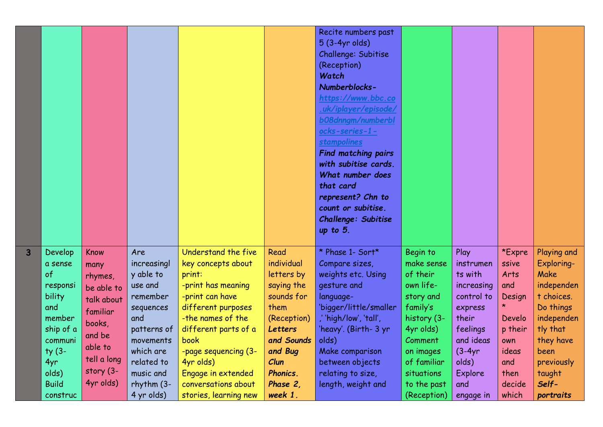|                |                                                                                                    |                                                                                                |                                                                                                                     |                                                                                                                                                                                                 |                                                                                                                                | Recite numbers past<br>5 (3-4yr olds)<br>Challenge: Subitise<br>(Reception)<br>Watch<br>Numberblocks-<br>https://www.bbc.co<br>.uk/iplayer/episode/<br>b08dnngm/numberbl<br>ocks-series-1-<br><b>stampolines</b><br><b>Find matching pairs</b><br>with subitise cards.<br>What number does<br>that card<br>represent? Chn to<br>count or subitise.<br>Challenge: Subitise<br>up to $5$ . |                                                                                                                                     |                                                                                                                    |                                                                               |                                                                                                                                  |
|----------------|----------------------------------------------------------------------------------------------------|------------------------------------------------------------------------------------------------|---------------------------------------------------------------------------------------------------------------------|-------------------------------------------------------------------------------------------------------------------------------------------------------------------------------------------------|--------------------------------------------------------------------------------------------------------------------------------|------------------------------------------------------------------------------------------------------------------------------------------------------------------------------------------------------------------------------------------------------------------------------------------------------------------------------------------------------------------------------------------|-------------------------------------------------------------------------------------------------------------------------------------|--------------------------------------------------------------------------------------------------------------------|-------------------------------------------------------------------------------|----------------------------------------------------------------------------------------------------------------------------------|
| $\overline{3}$ | Develop<br>a sense<br>of<br>responsi<br>bility<br>and<br>member<br>ship of a<br>communi<br>$ty(3-$ | Know<br>many<br>rhymes,<br>be able to<br>talk about<br>familiar<br>books,<br>and be<br>able to | Are<br>increasingl<br>y able to<br>use and<br>remember<br>sequences<br>and<br>patterns of<br>movements<br>which are | Understand the five<br>key concepts about<br>print:<br>-print has meaning<br>-print can have<br>different purposes<br>-the names of the<br>different parts of a<br>book<br>-page sequencing (3- | Read<br>individual<br>letters by<br>saying the<br>sounds for<br>them<br>(Reception)<br><b>Letters</b><br>and Sounds<br>and Bug | * Phase 1- Sort*<br>Compare sizes,<br>weights etc. Using<br>gesture and<br>language-<br>'bigger/little/smaller<br>,'high/low', 'tall',<br>'heavy'. (Birth- 3 yr<br>olds)<br>Make comparison                                                                                                                                                                                              | Begin to<br>make sense<br>of their<br>own life-<br>story and<br>family's<br>history (3-<br>4yr olds)<br><b>Comment</b><br>on images | Play<br>instrumen<br>ts with<br>increasing<br>control to<br>express<br>their<br>feelings<br>and ideas<br>$(3-4yr)$ | *Expre<br>ssive<br>Arts<br>and<br>Design<br>Develo<br>p their<br>own<br>ideas | Playing and<br>Exploring-<br><b>Make</b><br>independen<br>t choices.<br>Do things<br>independen<br>tly that<br>they have<br>been |
|                | 4yr<br>olds)<br><b>Build</b><br>construc                                                           | tell a long<br>story (3-<br>4yr olds)                                                          | related to<br>music and<br>$r$ hythm $(3-$<br>4 yr olds)                                                            | 4yr olds)<br>Engage in extended<br>conversations about<br>stories, learning new                                                                                                                 | Clun<br>Phonics.<br>Phase 2,<br>week 1.                                                                                        | between objects<br>relating to size,<br>length, weight and                                                                                                                                                                                                                                                                                                                               | of familiar<br>situations<br>to the past<br>(Reception)                                                                             | olds)<br><b>Explore</b><br>and<br>engage in                                                                        | and<br>then<br>decide<br>which                                                | previously<br>taught<br>Self-<br>portraits                                                                                       |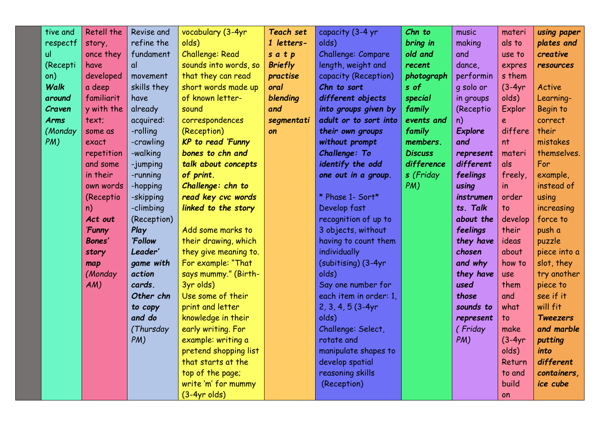| tive and    | <b>Retell the</b> | Revise and  | vocabulary (3-4yr        | Teach set      | capacity (3-4 yr       | Chn to         | music          | materi                   | using paper     |
|-------------|-------------------|-------------|--------------------------|----------------|------------------------|----------------|----------------|--------------------------|-----------------|
| respectf    | story,            | refine the  | olds)                    | 1 letters-     | olds)                  | bring in       | making         | als to                   | plates and      |
| ul.         | once they         | fundament   | Challenge: Read          | satp           | Challenge: Compare     | old and        | and            | use to                   | creative        |
| (Recepti    | have              | αl          | sounds into words, so    | <b>Briefly</b> | length, weight and     | recent         | dance,         | expres                   | resources       |
| on)         | developed         | movement    | that they can read       | practise       | capacity (Reception)   | photograph     | performin      | s them                   |                 |
| Walk        | a deep            | skills they | short words made up      | oral           | Chn to sort            | s of           | g solo or      | $(3-4yr)$                | Active          |
| around      | familiarit        | have        | of known letter-         | blending       | different objects      | special        | in groups      | olds)                    | Learning-       |
| Craven      | y with the        | already     | sound                    | and            | into groups given by   | family         | (Receptio      | Explor                   | Begin to        |
| <b>Arms</b> | text;             | acquired:   | correspondences          | segmentati     | adult or to sort into  | events and     | n)             | e                        | correct         |
| (Monday     | some as           | -rolling    | (Reception)              | on             | their own groups       | family         | <b>Explore</b> | differe                  | their           |
| PM)         | exact             | -crawling   | <b>KP</b> to read 'Funny |                | without prompt         | members.       | and            | nt                       | mistakes        |
|             | repetition        | -walking    | bones to chn and         |                | Challenge: To          | <b>Discuss</b> | represent      | materi                   | themselves.     |
|             | and some          | -jumping    | talk about concepts      |                | identify the odd       | difference     | different      | als                      | For             |
|             | in their          | -running    | of print.                |                | one out in a group.    | s (Friday      | feelings       | freely,                  | example,        |
|             | own words         | -hopping    | Challenge: chn to        |                |                        | PM)            | using          | $\overline{\mathsf{in}}$ | instead of      |
|             | (Receptio         | -skipping   | read key cvc words       |                | * Phase 1- Sort*       |                | instrumen      | order                    | using           |
|             | n)                | -climbing   | linked to the story      |                | Develop fast           |                | ts. Talk       | to                       | increasing      |
|             | Act out           | (Reception) |                          |                | recognition of up to   |                | about the      | develop                  | force to        |
|             | <b>Funny</b>      | Play        | Add some marks to        |                | 3 objects, without     |                | feelings       | their                    | push a          |
|             | <b>Bones'</b>     | 'Follow     | their drawing, which     |                | having to count them   |                | they have      | ideas                    | puzzle          |
|             | story             | Leader'     | they give meaning to.    |                | individually           |                | chosen         | about                    | piece into a    |
|             | map               | game with   | For example: "That       |                | (subitising) (3-4yr    |                | and why        | how to                   | slot, they      |
|             | (Monday           | action      | says mummy." (Birth-     |                | olds)                  |                | they have      | use                      | try another     |
|             | AM)               | cards.      | 3yr olds)                |                | Say one number for     |                | used           | them                     | piece to        |
|             |                   | Other chn   | Use some of their        |                | each item in order: 1, |                | those          | and                      | see if it       |
|             |                   | to copy     | print and letter         |                | $2, 3, 4, 5$ (3-4yr    |                | sounds to      | what                     | will fit        |
|             |                   | and do      | knowledge in their       |                | olds)                  |                | represent      | to                       | <b>Tweezers</b> |
|             |                   | (Thursday   | early writing. For       |                | Challenge: Select,     |                | (Friday        | make                     | and marble      |
|             |                   | PM)         | example: writing a       |                | rotate and             |                | PM)            | $(3-4yr)$                | putting         |
|             |                   |             | pretend shopping list    |                | manipulate shapes to   |                |                | olds)                    | into            |
|             |                   |             | that starts at the       |                | develop spatial        |                |                | Return                   | different       |
|             |                   |             | top of the page;         |                | reasoning skills       |                |                | to and                   | containers,     |
|             |                   |             | write 'm' for mummy      |                | (Reception)            |                |                | build                    | ice cube        |
|             |                   |             | $(3-4yr$ olds)           |                |                        |                |                | on                       |                 |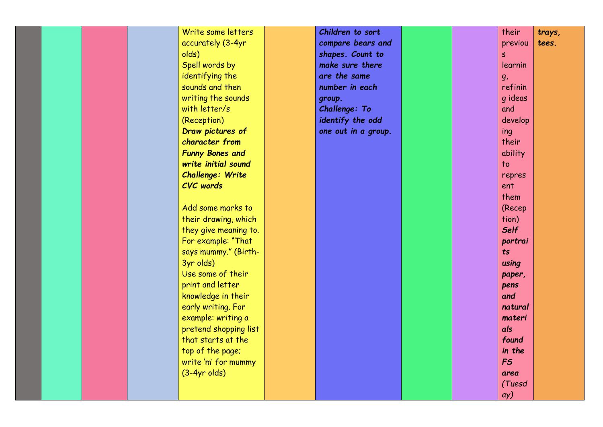|  |  | Write some letters      | Children to sort    |  | their           | trays, |
|--|--|-------------------------|---------------------|--|-----------------|--------|
|  |  | accurately (3-4yr       | compare bears and   |  | previou         | tees.  |
|  |  | olds)                   | shapes. Count to    |  | S.              |        |
|  |  | Spell words by          | make sure there     |  | learnin         |        |
|  |  | identifying the         | are the same        |  | g <sub>r</sub>  |        |
|  |  | sounds and then         | number in each      |  | refinin         |        |
|  |  | writing the sounds      | group.              |  | g ideas         |        |
|  |  | with letter/s           | Challenge: To       |  | and             |        |
|  |  | (Reception)             | identify the odd    |  | develop         |        |
|  |  | Draw pictures of        | one out in a group. |  | ing             |        |
|  |  | character from          |                     |  | their           |        |
|  |  | <b>Funny Bones and</b>  |                     |  | ability         |        |
|  |  | write initial sound     |                     |  | $\overline{10}$ |        |
|  |  | <b>Challenge: Write</b> |                     |  | repres          |        |
|  |  | <b>CVC</b> words        |                     |  | ent             |        |
|  |  |                         |                     |  | them            |        |
|  |  | Add some marks to       |                     |  | (Recep          |        |
|  |  | their drawing, which    |                     |  | tion)           |        |
|  |  | they give meaning to.   |                     |  | <b>Self</b>     |        |
|  |  | For example: "That      |                     |  | portrai         |        |
|  |  | says mummy." (Birth-    |                     |  | ts              |        |
|  |  | 3yr olds)               |                     |  | using           |        |
|  |  | Use some of their       |                     |  | paper,          |        |
|  |  | print and letter        |                     |  | pens            |        |
|  |  | knowledge in their      |                     |  | and             |        |
|  |  | early writing. For      |                     |  | natural         |        |
|  |  | example: writing a      |                     |  | materi          |        |
|  |  | pretend shopping list   |                     |  | als             |        |
|  |  | that starts at the      |                     |  | found           |        |
|  |  | top of the page;        |                     |  | in the          |        |
|  |  | write 'm' for mummy     |                     |  | <b>FS</b>       |        |
|  |  | $(3-4yr$ olds)          |                     |  | area            |        |
|  |  |                         |                     |  | (Tuesd          |        |
|  |  |                         |                     |  | ay)             |        |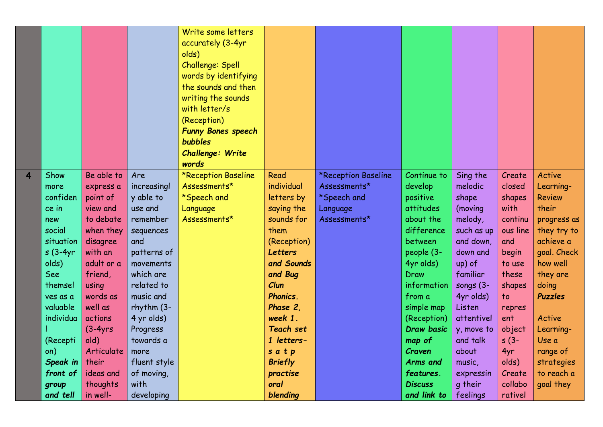|   |            |            |                 | Write some letters<br>accurately (3-4yr<br>olds)<br>Challenge: Spell<br>words by identifying<br>the sounds and then<br>writing the sounds<br>with letter/s<br>(Reception)<br><b>Funny Bones speech</b><br><b>bubbles</b><br><b>Challenge: Write</b><br>words |                 |                     |                   |              |          |                |
|---|------------|------------|-----------------|--------------------------------------------------------------------------------------------------------------------------------------------------------------------------------------------------------------------------------------------------------------|-----------------|---------------------|-------------------|--------------|----------|----------------|
| 4 | Show       | Be able to | Are             | *Reception Baseline                                                                                                                                                                                                                                          | Read            | *Reception Baseline | Continue to       | Sing the     | Create   | Active         |
|   | more       | express a  | increasingl     | Assessments*                                                                                                                                                                                                                                                 | individual      | Assessments*        | develop           | melodic      | closed   | Learning-      |
|   | confiden   | point of   | y able to       | *Speech and                                                                                                                                                                                                                                                  | letters by      | *Speech and         | positive          | shape        | shapes   | <b>Review</b>  |
|   | ce in      | view and   | use and         | Language                                                                                                                                                                                                                                                     | saying the      | Language            | attitudes         | (moving      | with     | their          |
|   | new        | to debate  | remember        | Assessments*                                                                                                                                                                                                                                                 | sounds for      | Assessments*        | about the         | melody,      | continu  | progress as    |
|   | social     | when they  | sequences       |                                                                                                                                                                                                                                                              | them            |                     | difference        | such as up   | ous line | they try to    |
|   | situation  | disagree   | and             |                                                                                                                                                                                                                                                              | (Reception)     |                     | between           | and down,    | and      | achieve a      |
|   | $s(3-4yr)$ | with an    | patterns of     |                                                                                                                                                                                                                                                              | Letters         |                     | people (3-        | down and     | begin    | goal. Check    |
|   | olds)      | adult or a | movements       |                                                                                                                                                                                                                                                              | and Sounds      |                     | 4yr olds)         | up) of       | to use   | how well       |
|   | See        | friend,    | which are       |                                                                                                                                                                                                                                                              | and Bug         |                     | Draw              | familiar     | these    | they are       |
|   | themsel    | using      | related to      |                                                                                                                                                                                                                                                              | Clun            |                     | information       | songs $(3 -$ | shapes   | doing          |
|   | ves as a   | words as   | music and       |                                                                                                                                                                                                                                                              | <b>Phonics.</b> |                     | from a            | 4yr olds)    | to       | <b>Puzzles</b> |
|   | valuable   | well as    | $r$ hythm $(3-$ |                                                                                                                                                                                                                                                              | Phase 2.        |                     | simple map        | Listen       | repres   |                |
|   | individua  | actions    | 4 yr olds)      |                                                                                                                                                                                                                                                              | week 1.         |                     | (Reception)       | attentivel   | ent      | Active         |
|   |            | $(3-4yrs$  | Progress        |                                                                                                                                                                                                                                                              | Teach set       |                     | <b>Draw basic</b> | y, move to   | object   | Learning-      |
|   | (Recepti   | old)       | towards a       |                                                                                                                                                                                                                                                              | 1 letters-      |                     | map of            | and talk     | $s(3-$   | Use a          |
|   | on)        | Articulate | more            |                                                                                                                                                                                                                                                              | satp            |                     | Craven            | about        | 4yr      | range of       |
|   | Speak in   | their      | fluent style    |                                                                                                                                                                                                                                                              | <b>Briefly</b>  |                     | Arms and          | music,       | olds)    | strategies     |
|   | front of   | ideas and  | of moving,      |                                                                                                                                                                                                                                                              | practise        |                     | features.         | expressin    | Create   | to reach a     |
|   | group      | thoughts   | with            |                                                                                                                                                                                                                                                              | oral            |                     | <b>Discuss</b>    | q their      | collabo  | goal they      |
|   | and tell   | in well-   | developing      |                                                                                                                                                                                                                                                              | blending        |                     | and link to       | feelings     | rativel  |                |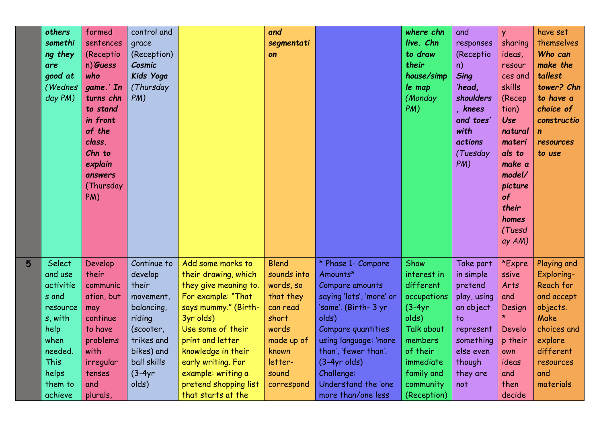|   | others<br>somethi<br>ng they<br>are<br>good at<br>(Wednes<br>day PM)                                                             | formed<br>sentences<br>(Receptio<br>$n)$ 'Guess<br>who<br>game.' In<br>turns chn<br>to stand<br>in front<br>of the<br>class.<br>Chn to<br>explain<br>answers<br>(Thursday<br>PM) | control and<br>grace<br>(Reception)<br>Cosmic<br>Kids Yoga<br>(Thursday<br>PM)                                                                    |                                                                                                                                                                                                                                                                                         | and<br>segmentati<br>on                                                                                                                      |                                                                                                                                                                                                                                                                    | where chn<br>live. Chn<br>to draw<br>their<br>house/simp<br>le map<br>(Monday<br>PM)                                                                              | and<br>responses<br>(Receptio<br>n)<br><b>Sing</b><br>'head,<br>shoulders<br>, knees<br>and toes'<br>with<br><i>actions</i><br>(Tuesday<br>PM) | <b>y</b><br>sharing<br>ideas,<br>resour<br>ces and<br>skills<br>(Recep<br>tion)<br><b>Use</b><br>natural<br>materi<br>als to<br>make a<br>model/<br>picture<br>of<br>their<br>homes<br>(Tuesd<br>ay AM) | have set<br>themselves<br>Who can<br>make the<br>tallest<br>tower? Chn<br>to have a<br>choice of<br>constructio<br>resources<br>to use           |
|---|----------------------------------------------------------------------------------------------------------------------------------|----------------------------------------------------------------------------------------------------------------------------------------------------------------------------------|---------------------------------------------------------------------------------------------------------------------------------------------------|-----------------------------------------------------------------------------------------------------------------------------------------------------------------------------------------------------------------------------------------------------------------------------------------|----------------------------------------------------------------------------------------------------------------------------------------------|--------------------------------------------------------------------------------------------------------------------------------------------------------------------------------------------------------------------------------------------------------------------|-------------------------------------------------------------------------------------------------------------------------------------------------------------------|------------------------------------------------------------------------------------------------------------------------------------------------|---------------------------------------------------------------------------------------------------------------------------------------------------------------------------------------------------------|--------------------------------------------------------------------------------------------------------------------------------------------------|
| 5 | Select<br>and use<br>activitie<br>s and<br>resource<br>s, with<br>help<br>when<br>needed.<br>This<br>helps<br>them to<br>achieve | Develop<br>their<br>communic<br>ation, but<br>may<br>continue<br>to have<br>problems<br>with<br>irregular<br>tenses<br>and<br>plurals,                                           | Continue to<br>develop<br>their<br>movement,<br>balancing<br>riding<br>(scooter,<br>trikes and<br>bikes) and<br>ball skills<br>$(3-4yr)$<br>olds) | Add some marks to<br>their drawing, which<br>they give meaning to.<br>For example: "That<br>says mummy." (Birth-<br>3yr olds)<br>Use some of their<br>print and letter<br>knowledge in their<br>early writing. For<br>example: writing a<br>pretend shopping list<br>that starts at the | <b>Blend</b><br>sounds into<br>words, so<br>that they<br>can read<br>short<br>words<br>made up of<br>known<br>letter-<br>sound<br>correspond | * Phase 1- Compare<br>Amounts*<br>Compare amounts<br>saying 'lots', 'more' or<br>'same'. (Birth- 3 yr<br>olds)<br>Compare quantities<br>using language: 'more<br>than', 'fewer than'.<br>$(3-4yr$ olds)<br>Challenge:<br>Understand the 'one<br>more than/one less | Show<br>interest in<br>different<br>occupations<br>$(3-4yr)$<br>olds)<br>Talk about<br>members<br>of their<br>immediate<br>family and<br>community<br>(Reception) | Take part<br>in simple<br>pretend<br>play, using<br>an object<br>to<br>represent<br>something<br>else even<br>though<br>they are<br>not        | *Expre<br>ssive<br>Arts<br>and<br>Design<br>*.<br>Develo<br>p their<br>own<br>ideas<br>and<br>then<br>decide                                                                                            | Playing and<br>Exploring-<br>Reach for<br>and accept<br>objects.<br>Make<br>choices and<br>explore<br>different<br>resources<br>and<br>materials |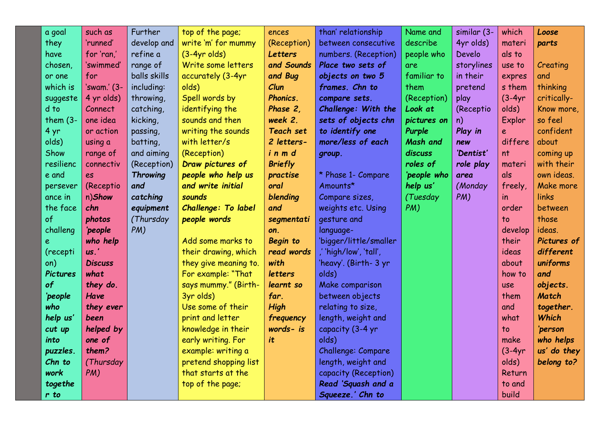| a goal          | such as         | Further         | top of the page;      | ences            | than' relationship     | Name and        | similar (3- | which     | Loose              |
|-----------------|-----------------|-----------------|-----------------------|------------------|------------------------|-----------------|-------------|-----------|--------------------|
| they            | 'runned'        | develop and     | write 'm' for mummy   | (Reception)      | between consecutive    | describe        | 4yr olds)   | materi    | parts              |
| have            | for 'ran,'      | refine a        | $(3-4yr$ olds)        | <b>Letters</b>   | numbers. (Reception)   | people who      | Develo      | als to    |                    |
| chosen,         | 'swimmed'       | range of        | Write some letters    | and Sounds       | Place two sets of      | are.            | storylines  | use to    | Creating           |
| or one          | for             | balls skills    | accurately (3-4yr     | and Bug          | objects on two 5       | familiar to     | in their    | expres    | and                |
| which is        | 'swam.' (3-     | including:      | olds)                 | Clun             | frames. Chn to         | them            | pretend     | s them    | thinking           |
| suggeste        | 4 yr olds)      | throwing,       | Spell words by        | Phonics.         | compare sets.          | (Reception)     | play        | $(3-4yr)$ | critically-        |
| d to            | Connect         | catching,       | identifying the       | Phase 2,         | Challenge: With the    | Look at         | (Receptio   | olds)     | Know more,         |
| them $(3 -$     | one idea        | kicking,        | sounds and then       | week 2.          | sets of objects chn    | pictures on     | n)          | Explor    | so feel            |
| 4 yr            | or action       | passing,        | writing the sounds    | <b>Teach set</b> | to identify one        | Purple          | Play in     | e         | confident          |
| olds)           | using a         | batting,        | with letter/s         | 2 letters-       | more/less of each      | <b>Mash and</b> | new         | differe   | about              |
| Show            | range of        | and aiming      | (Reception)           | inmd             | group.                 | discuss         | 'Dentist'   | nt        | coming up          |
| resilienc       | connectiv       | (Reception)     | Draw pictures of      | <b>Briefly</b>   |                        | roles of        | role play   | materi    | with their         |
| e and           | es              | <b>Throwing</b> | people who help us    | practise         | * Phase 1- Compare     | 'people who     | area        | als       | own ideas.         |
| persever        | (Receptio       | and             | and write initial     | oral             | Amounts*               | help us'        | (Monday     | freely,   | Make more          |
| ance in         | n)Show          | catching        | sounds                | blending         | Compare sizes,         | (Tuesday        | PM)         | in        | links              |
| the face        | chn             | equipment       | Challenge: To label   | and              | weights etc. Using     | PM)             |             | order     | between            |
| of              | photos          | (Thursday       | people words          | segmentati       | gesture and            |                 |             | to        | those              |
| challeng        | 'people         | PM)             |                       | on.              | language-              |                 |             | develop   | ideas.             |
| e               | who help        |                 | Add some marks to     | <b>Begin</b> to  | 'bigger/little/smaller |                 |             | their     | <b>Pictures of</b> |
| (recepti        | $\mathsf{us.'}$ |                 | their drawing, which  | read words       | ,'high/low', 'tall',   |                 |             | ideas     | different          |
| on)             | <b>Discuss</b>  |                 | they give meaning to. | with             | 'heavy'. (Birth- 3 yr  |                 |             | about     | uniforms           |
| <b>Pictures</b> | what            |                 | For example: "That    | letters          | olds)                  |                 |             | how to    | and                |
| of              | they do.        |                 | says mummy." (Birth-  | learnt so        | Make comparison        |                 |             | use       | objects.           |
| 'people         | Have            |                 | 3yr olds)             | far.             | between objects        |                 |             | them      | <b>Match</b>       |
| who             | they ever       |                 | Use some of their     | High             | relating to size,      |                 |             | and       | together.          |
| help us'        | been            |                 | print and letter      | frequency        | length, weight and     |                 |             | what      | <b>Which</b>       |
| cut up          | helped by       |                 | knowledge in their    | words- is        | capacity (3-4 yr       |                 |             | to        | 'person            |
| into            | one of          |                 | early writing. For    | it               | olds)                  |                 |             | make      | who helps          |
| puzzles.        | them?           |                 | example: writing a    |                  | Challenge: Compare     |                 |             | $(3-4yr)$ | us' do they        |
| Chn to          | (Thursday       |                 | pretend shopping list |                  | length, weight and     |                 |             | olds)     | belong to?         |
| work            | PM)             |                 | that starts at the    |                  | capacity (Reception)   |                 |             | Return    |                    |
| togethe         |                 |                 | top of the page;      |                  | Read 'Squash and a     |                 |             | to and    |                    |
| $r$ to          |                 |                 |                       |                  | Squeeze.' Chn to       |                 |             | build     |                    |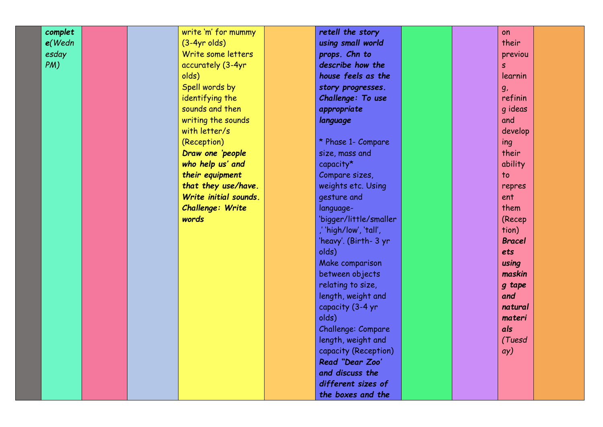| complet   |  | write 'm' for mummy     | retell the story       |  | on                       |
|-----------|--|-------------------------|------------------------|--|--------------------------|
| $e$ (Wedn |  | $(3-4yr$ olds)          | using small world      |  | their                    |
| esday     |  | Write some letters      | props. Chn to          |  | previou                  |
| $PM$ )    |  | accurately (3-4yr       | describe how the       |  | S                        |
|           |  | olds)                   | house feels as the     |  | learnin                  |
|           |  | Spell words by          | story progresses.      |  | g <sub>r</sub>           |
|           |  | identifying the         | Challenge: To use      |  | refinin                  |
|           |  | sounds and then         | appropriate            |  | g ideas                  |
|           |  | writing the sounds      | language               |  | and                      |
|           |  | with letter/s           |                        |  | develop                  |
|           |  | (Reception)             | * Phase 1- Compare     |  | ing                      |
|           |  | Draw one 'people        | size, mass and         |  | their                    |
|           |  | who help us' and        | capacity*              |  | ability                  |
|           |  | their equipment         | Compare sizes,         |  | $\overline{\mathsf{to}}$ |
|           |  | that they use/have.     | weights etc. Using     |  | repres                   |
|           |  | Write initial sounds.   | gesture and            |  | ent                      |
|           |  | <b>Challenge: Write</b> | language-              |  | them                     |
|           |  | words                   | 'bigger/little/smaller |  | (Recep                   |
|           |  |                         | ,' 'high/low', 'tall', |  | tion)                    |
|           |  |                         | 'heavy'. (Birth- 3 yr  |  | <b>Bracel</b>            |
|           |  |                         | olds)                  |  | ets                      |
|           |  |                         | Make comparison        |  | using                    |
|           |  |                         | between objects        |  | maskin                   |
|           |  |                         | relating to size,      |  | g tape                   |
|           |  |                         | length, weight and     |  | and                      |
|           |  |                         | capacity (3-4 yr       |  | natural                  |
|           |  |                         | olds)                  |  | materi                   |
|           |  |                         | Challenge: Compare     |  | als                      |
|           |  |                         | length, weight and     |  | (Tuesd                   |
|           |  |                         | capacity (Reception)   |  | ay)                      |
|           |  |                         | Read "Dear Zoo'        |  |                          |
|           |  |                         | and discuss the        |  |                          |
|           |  |                         | different sizes of     |  |                          |
|           |  |                         | the boxes and the      |  |                          |
|           |  |                         |                        |  |                          |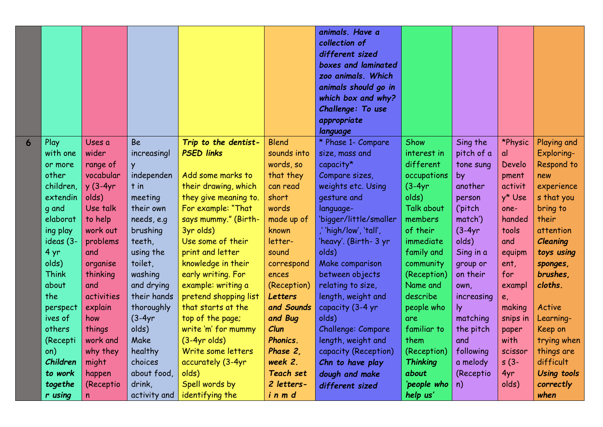|   |                       |                 |                           |                                             |                               | animals. Have a<br>collection of<br>different sized<br>boxes and laminated<br>zoo animals. Which<br>animals should go in<br>which box and why?<br>Challenge: To use<br>appropriate |                         |                      |                |                      |
|---|-----------------------|-----------------|---------------------------|---------------------------------------------|-------------------------------|------------------------------------------------------------------------------------------------------------------------------------------------------------------------------------|-------------------------|----------------------|----------------|----------------------|
|   |                       |                 |                           |                                             |                               | language                                                                                                                                                                           |                         |                      |                |                      |
| 6 | Play                  | Uses a          | <b>Be</b>                 | Trip to the dentist-                        | <b>Blend</b>                  | * Phase 1- Compare                                                                                                                                                                 | Show                    | Sing the             | *Physic        | Playing and          |
|   | with one              | wider           | increasingl               | <b>PSED links</b>                           | sounds into                   | size, mass and                                                                                                                                                                     | interest in             | pitch of a           | al             | Exploring-           |
|   | or more               | range of        | Y                         |                                             | words, so                     | capacity*                                                                                                                                                                          | different               | tone sung            | Develo         | Respond to           |
|   | other                 | vocabular       | independen                | Add some marks to                           | that they                     | Compare sizes,                                                                                                                                                                     | occupations             | by                   | pment          | new                  |
|   | children,             | $y(3-4yr)$      | $t$ in                    | their drawing, which                        | can read                      | weights etc. Using                                                                                                                                                                 | $(3-4yr)$               | another              | activit        | experience           |
|   | extendin              | olds)           | meeting                   | they give meaning to.                       | short                         | gesture and                                                                                                                                                                        | olds)                   | person               | y* Use         | s that you           |
|   | q and                 | Use talk        | their own                 | For example: "That                          | words                         | language-                                                                                                                                                                          | Talk about              | ('pitch              | one-<br>handed | bring to<br>their    |
|   | elaborat              | to help         | needs, e.g                | says mummy." (Birth-                        | made up of                    | 'bigger/little/smaller                                                                                                                                                             | members                 | match')              |                |                      |
|   | ing play              | work out        | brushing                  | 3yr olds)                                   | known                         | ,' 'high/low', 'tall',                                                                                                                                                             | of their                | $(3-4yr)$<br>olds)   | tools          | attention            |
|   | ideas (3-             | problems<br>and | teeth,                    | Use some of their<br>print and letter       | letter-                       | 'heavy'. (Birth- 3 yr<br>olds)                                                                                                                                                     | immediate               |                      | and            | <b>Cleaning</b>      |
|   | 4 yr                  |                 | using the                 |                                             | sound                         |                                                                                                                                                                                    | family and              | Sing in a            | equipm         | toys using           |
|   | olds)<br><b>Think</b> | organise        | toilet,<br>washing        | knowledge in their                          | correspond<br>ences           | Make comparison                                                                                                                                                                    | community               | group or<br>on their | ent,<br>for    | sponges,<br>brushes, |
|   | about                 | thinking<br>and |                           | early writing. For                          |                               | between objects                                                                                                                                                                    | (Reception)<br>Name and |                      |                | cloths.              |
|   | the                   | activities      | and drying<br>their hands | example: writing a<br>pretend shopping list | (Reception)<br><b>Letters</b> | relating to size,<br>length, weight and                                                                                                                                            | describe                | own,                 | exampl         |                      |
|   | perspect              | explain         | thoroughly                | that starts at the                          | and Sounds                    | capacity (3-4 yr                                                                                                                                                                   | people who              | increasing<br>ly.    | e,<br>making   | Active               |
|   | ives of               | how             | $(3-4yr)$                 | top of the page;                            | and Bug                       | olds)                                                                                                                                                                              | are                     | matching             | snips in       | Learning-            |
|   | others                | things          | olds)                     | write 'm' for mummy                         | Clun                          | Challenge: Compare                                                                                                                                                                 | familiar to             | the pitch            | paper          | Keep on              |
|   | (Recepti              | work and        | Make                      | $(3-4yr$ olds)                              | <b>Phonics.</b>               | length, weight and                                                                                                                                                                 | them                    | and                  | with           | trying when          |
|   | on)                   | why they        | healthy                   | Write some letters                          | Phase 2,                      | capacity (Reception)                                                                                                                                                               | (Reception)             | following            | scissor        | things are           |
|   | Children              | might           | choices                   | accurately (3-4yr                           | week 2.                       | Chn to have play                                                                                                                                                                   | <b>Thinking</b>         | a melody             | $s(3-$         | difficult            |
|   | to work               | happen          | about food,               | olds)                                       | <b>Teach set</b>              | dough and make                                                                                                                                                                     | about                   | (Receptio            | 4yr            | <b>Using tools</b>   |
|   | togethe               | (Receptio       | drink,                    | Spell words by                              | 2 letters-                    | different sized                                                                                                                                                                    | 'people who             | n)                   | olds)          | correctly            |
|   | r using               | n               | activity and              | identifying the                             | inmd                          |                                                                                                                                                                                    | help us'                |                      |                | when                 |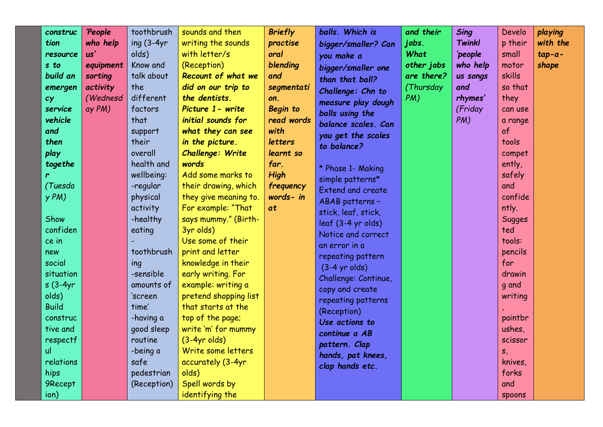| construc<br>tion<br>resource<br>s to<br>build an<br>emergen<br>cy<br>service<br>vehicle<br>and<br>then<br>play<br>togethe<br>r<br>(Tuesda<br>yPM<br>Show<br>confiden<br>ce in<br>new<br>social<br>situation<br>$s(3-4yr)$<br>olds)<br><b>Build</b><br>construc<br>tive and<br>respectf<br>ul<br>relations<br>hips<br>9Recept<br>ion) | 'People<br>who help<br>$\boldsymbol{\mathsf{u}}$ s'<br>equipment<br>sorting<br>activity<br>(Wednesd<br>ay PM) | toothbrush<br>ing $(3-4yr)$<br>olds)<br>Know and<br>talk about<br>the<br>different<br>factors<br>that<br>support<br>their<br>overall<br>health and<br>wellbeing:<br>-regular<br>physical<br>activity<br>-healthy<br>eating<br>toothbrush<br>ing<br>-sensible<br>amounts of<br>'screen<br>time'<br>-having a<br>good sleep<br>routine<br>-being a<br>safe<br>pedestrian<br>(Reception) | sounds and then<br>writing the sounds<br>with letter/s<br>(Reception)<br>Recount of what we<br>did on our trip to<br>the dentists.<br>Picture 1 - write<br>initial sounds for<br>what they can see<br>in the picture.<br>Challenge: Write<br>words<br>Add some marks to<br>their drawing, which<br>they give meaning to.<br>For example: "That<br>says mummy." (Birth-<br>3yr olds)<br>Use some of their<br>print and letter<br>knowledge in their<br>early writing. For<br>example: writing a<br>pretend shopping list<br>that starts at the<br>top of the page;<br>write 'm' for mummy<br>$(3-4yr$ olds)<br>Write some letters<br>accurately (3-4yr<br>olds)<br>Spell words by<br>identifying the | <b>Briefly</b><br>practise<br>oral<br>blending<br>and<br>segmentati<br>on.<br><b>Begin to</b><br>read words<br>with<br><b>letters</b><br>learnt so<br>far.<br><b>High</b><br>frequency<br>words- in<br>at | balls. Which is<br>bigger/smaller? Can<br>you make a<br>bigger/smaller one<br>than that ball?<br>Challenge: Chn to<br>measure play dough<br>balls using the<br>balance scales. Can<br>you get the scales<br>to balance?<br>* Phase 1- Making<br>simple patterns*<br><b>Extend and create</b><br>ABAB patterns -<br>stick, leaf, stick,<br>leaf (3-4 yr olds)<br>Notice and correct<br>an error in a<br>repeating pattern<br>$(3-4$ yr olds)<br>Challenge: Continue,<br>copy and create<br>repeating patterns<br>(Reception)<br>Use actions to<br>continue a AB<br>pattern. Clap<br>hands, pat knees,<br>clap hands etc. | and their<br>jobs.<br>What<br>other jobs<br>are there?<br>(Thursday<br>PM) | <b>Sing</b><br><b>Twinkl</b><br>'people<br>who help<br>us songs<br>and<br>rhymes'<br>(Friday<br>PM) | Develo<br>p their<br>small<br>motor<br>skills<br>so that<br>they<br>can use<br>a range<br>of<br>tools<br>compet<br>ently,<br>safely<br>and<br>confide<br>ntly.<br><b>Sugges</b><br>ted<br>tools:<br>pencils<br>for<br>drawin<br>q and<br>writing<br>paintbr<br>ushes,<br>scissor<br>s,<br>knives,<br>forks<br>and<br><b>Spoons</b> | playing<br>with the<br>$tap-a-$<br>shape |
|--------------------------------------------------------------------------------------------------------------------------------------------------------------------------------------------------------------------------------------------------------------------------------------------------------------------------------------|---------------------------------------------------------------------------------------------------------------|---------------------------------------------------------------------------------------------------------------------------------------------------------------------------------------------------------------------------------------------------------------------------------------------------------------------------------------------------------------------------------------|-----------------------------------------------------------------------------------------------------------------------------------------------------------------------------------------------------------------------------------------------------------------------------------------------------------------------------------------------------------------------------------------------------------------------------------------------------------------------------------------------------------------------------------------------------------------------------------------------------------------------------------------------------------------------------------------------------|-----------------------------------------------------------------------------------------------------------------------------------------------------------------------------------------------------------|-------------------------------------------------------------------------------------------------------------------------------------------------------------------------------------------------------------------------------------------------------------------------------------------------------------------------------------------------------------------------------------------------------------------------------------------------------------------------------------------------------------------------------------------------------------------------------------------------------------------------|----------------------------------------------------------------------------|-----------------------------------------------------------------------------------------------------|------------------------------------------------------------------------------------------------------------------------------------------------------------------------------------------------------------------------------------------------------------------------------------------------------------------------------------|------------------------------------------|
|--------------------------------------------------------------------------------------------------------------------------------------------------------------------------------------------------------------------------------------------------------------------------------------------------------------------------------------|---------------------------------------------------------------------------------------------------------------|---------------------------------------------------------------------------------------------------------------------------------------------------------------------------------------------------------------------------------------------------------------------------------------------------------------------------------------------------------------------------------------|-----------------------------------------------------------------------------------------------------------------------------------------------------------------------------------------------------------------------------------------------------------------------------------------------------------------------------------------------------------------------------------------------------------------------------------------------------------------------------------------------------------------------------------------------------------------------------------------------------------------------------------------------------------------------------------------------------|-----------------------------------------------------------------------------------------------------------------------------------------------------------------------------------------------------------|-------------------------------------------------------------------------------------------------------------------------------------------------------------------------------------------------------------------------------------------------------------------------------------------------------------------------------------------------------------------------------------------------------------------------------------------------------------------------------------------------------------------------------------------------------------------------------------------------------------------------|----------------------------------------------------------------------------|-----------------------------------------------------------------------------------------------------|------------------------------------------------------------------------------------------------------------------------------------------------------------------------------------------------------------------------------------------------------------------------------------------------------------------------------------|------------------------------------------|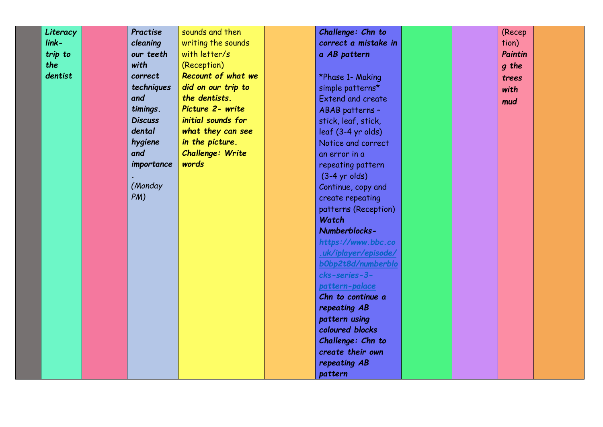| Literacy | Practise       | sounds and then    | Challenge: Chn to                     |  | (Recep  |  |
|----------|----------------|--------------------|---------------------------------------|--|---------|--|
| $link -$ | cleaning       | writing the sounds | correct a mistake in                  |  | tion)   |  |
| trip to  | our teeth      | with letter/s      | a AB pattern                          |  | Paintin |  |
| the      | with           | (Reception)        |                                       |  | q the   |  |
| dentist  | correct        | Recount of what we | *Phase 1- Making                      |  | trees   |  |
|          | techniques     | did on our trip to | simple patterns*                      |  | with    |  |
|          | and            | the dentists.      | <b>Extend and create</b>              |  | mud     |  |
|          | timings.       | Picture 2- write   | ABAB patterns -                       |  |         |  |
|          | <b>Discuss</b> | initial sounds for | stick, leaf, stick,                   |  |         |  |
|          | dental         | what they can see  | leaf (3-4 yr olds)                    |  |         |  |
|          | hygiene        | in the picture.    | Notice and correct                    |  |         |  |
|          | and            | Challenge: Write   | an error in a                         |  |         |  |
|          | importance     | words              | repeating pattern                     |  |         |  |
|          |                |                    | $(3-4$ yr olds)                       |  |         |  |
|          | (Monday        |                    | Continue, copy and                    |  |         |  |
|          | PM)            |                    | create repeating                      |  |         |  |
|          |                |                    | patterns (Reception)                  |  |         |  |
|          |                |                    | Watch                                 |  |         |  |
|          |                |                    | Numberblocks-                         |  |         |  |
|          |                |                    | https://www.bbc.co                    |  |         |  |
|          |                |                    | .uk/iplayer/episode/                  |  |         |  |
|          |                |                    | b0bp2t8d/numberblo                    |  |         |  |
|          |                |                    | cks-series-3-                         |  |         |  |
|          |                |                    | pattern-palace                        |  |         |  |
|          |                |                    | Chn to continue a                     |  |         |  |
|          |                |                    | repeating AB                          |  |         |  |
|          |                |                    | pattern using                         |  |         |  |
|          |                |                    | coloured blocks                       |  |         |  |
|          |                |                    | Challenge: Chn to<br>create their own |  |         |  |
|          |                |                    |                                       |  |         |  |
|          |                |                    | repeating AB                          |  |         |  |
|          |                |                    | pattern                               |  |         |  |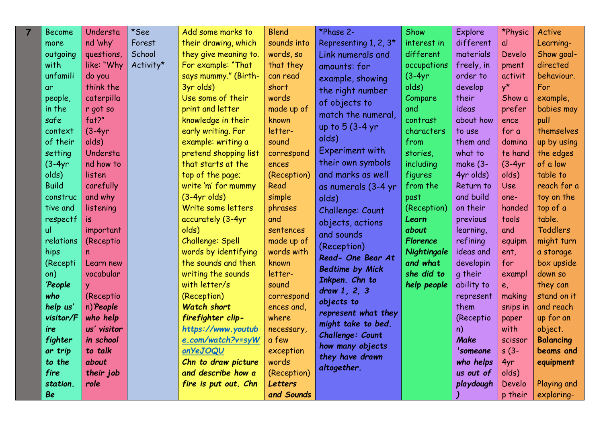| $\overline{7}$ | <b>Become</b> | Understa    | *See      | Add some marks to     | <b>Blend</b>   | *Phase 2-              | Show            | Explore     | *Physic     | Active           |
|----------------|---------------|-------------|-----------|-----------------------|----------------|------------------------|-----------------|-------------|-------------|------------------|
|                | more          | nd 'why'    | Forest    | their drawing, which  | sounds into    | Representing 1, 2, 3*  | interest in     | different   | al          | Learning-        |
|                | outgoing      | questions,  | School    | they give meaning to. | words, so      | Link numerals and      | different       | materials   | Develo      | Show goal-       |
|                | with          | like: "Why  | Activity* | For example: "That    | that they      | amounts: for           | occupations     | freely, in  | pment       | directed         |
|                | unfamili      | do you      |           | says mummy." (Birth-  | can read       | example, showing       | $(3-4yr)$       | order to    | activit     | behaviour.       |
|                | <b>ar</b>     | think the   |           | 3yr olds)             | short          | the right number       | olds)           | develop     | $y^{\star}$ | For              |
|                | people,       | caterpilla  |           | Use some of their     | words          | of objects to          | Compare         | their       | Show a      | example,         |
|                | in the        | r got so    |           | print and letter      | made up of     | match the numeral,     | and             | ideas       | prefer      | babies may       |
|                | safe          | fat?"       |           | knowledge in their    | known          | up to 5 (3-4 yr        | contrast        | about how   | ence        | pull             |
|                | context       | $(3-4yr)$   |           | early writing. For    | letter-        |                        | characters      | to use      | for a       | themselves       |
|                | of their      | olds)       |           | example: writing a    | sound          | olds)                  | from            | them and    | domina      | up by using      |
|                | setting       | Understa    |           | pretend shopping list | correspond     | Experiment with        | stories,        | what to     | te hand     | the edges        |
|                | $(3-4yr)$     | nd how to   |           | that starts at the    | ences          | their own symbols      | including       | make $(3 -$ | $(3-4yr)$   | of a low         |
|                | olds)         | listen      |           | top of the page;      | (Reception)    | and marks as well      | figures         | 4yr olds)   | olds)       | table to         |
|                | <b>Build</b>  | carefully   |           | write 'm' for mummy   | Read           | as numerals (3-4 yr    | from the        | Return to   | <b>Use</b>  | reach for a      |
|                | construc      | and why     |           | $(3-4yr$ olds)        | simple         | olds)                  | past            | and build   | one-        | toy on the       |
|                | tive and      | listening   |           | Write some letters    | phrases        | Challenge: Count       | (Reception)     | on their    | handed      | top of a         |
|                | respectf      | is.         |           | accurately (3-4yr     | and            | objects, actions       | Learn           | previous    | tools       | table.           |
|                | <u>ul</u>     | important   |           | olds)                 | sentences      | and sounds             | about           | learning,   | and         | <b>Toddlers</b>  |
|                | relations     | (Receptio   |           | Challenge: Spell      | made up of     | (Reception)            | <b>Florence</b> | refining    | equipm      | might turn       |
|                | hips          | n           |           | words by identifying  | words with     | Read- One Bear At      | Nightingale     | ideas and   | ent,        | a storage        |
|                | (Recepti      | Learn new   |           | the sounds and then   | known          | <b>Bedtime by Mick</b> | and what        | developin   | for         | box upside       |
|                | on)           | vocabular   |           | writing the sounds    | letter-        | Inkpen. Chn to         | she did to      | q their     | exampl      | down so          |
|                | 'People       |             |           | with letter/s         | sound          | draw 1, 2, 3           | help people     | ability to  | $e_{i}$     | they can         |
|                | who           | (Receptio   |           | (Reception)           | correspond     | objects to             |                 | represent   | making      | stand on it      |
|                | help us'      | n) People   |           | <b>Watch short</b>    | ences and,     | represent what they    |                 | them        | snips in    | and reach        |
|                | visitor/F     | who help    |           | firefighter clip-     | where          | might take to bed.     |                 | (Receptio   | paper       | up for an        |
|                | ire           | us' visitor |           | https://www.youtub    | necessary,     | Challenge: Count       |                 | n)          | with        | object.          |
|                | fighter       | in school   |           | e.com/watch?v=syW     | a few          | how many objects       |                 | <b>Make</b> | scissor     | <b>Balancing</b> |
|                | or trip       | to talk     |           | onYeJOQU              | exception      | they have drawn        |                 | 'someone    | $s(3-$      | beams and        |
|                | to the        | about       |           | Chn to draw picture   | words          | altogether.            |                 | who helps   | 4yr         | equipment        |
|                | fire          | their job   |           | and describe how a    | (Reception)    |                        |                 | us out of   | olds)       |                  |
|                | station.      | role        |           | fire is put out. Chn  | <b>Letters</b> |                        |                 | playdough   | Develo      | Playing and      |
|                | <b>Be</b>     |             |           |                       | and Sounds     |                        |                 |             | p their     | exploring-       |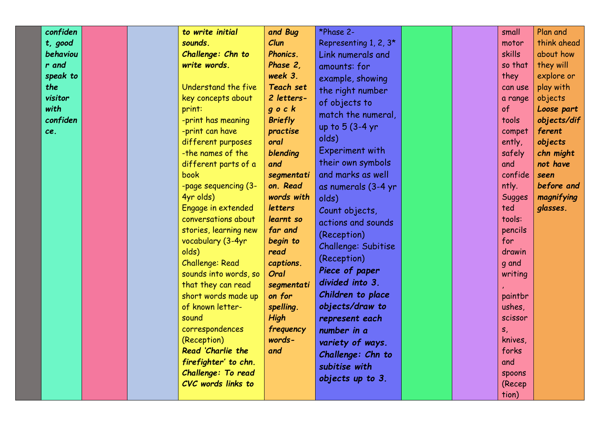| confiden |  | to write initial       | and Bug          | *Phase 2-             |  | small         | Plan and    |
|----------|--|------------------------|------------------|-----------------------|--|---------------|-------------|
| t, good  |  | sounds.                | Clun             | Representing 1, 2, 3* |  | motor         | think ahead |
| behaviou |  | Challenge: Chn to      | Phonics.         | Link numerals and     |  | <b>skills</b> | about how   |
| r and    |  | write words.           | Phase 2,         | amounts: for          |  | so that       | they will   |
| speak to |  |                        | week 3.          | example, showing      |  | they          | explore or  |
| the      |  | Understand the five    | <b>Teach set</b> | the right number      |  | can use       | play with   |
| visitor  |  | key concepts about     | 2 letters-       | of objects to         |  | a range       | objects     |
| with     |  | print:                 | $g$ o $c$ $k$    | match the numeral,    |  | of            | Loose part  |
| confiden |  | -print has meaning     | <b>Briefly</b>   |                       |  | tools         | objects/dif |
| ce.      |  | -print can have        | practise         | up to 5 (3-4 yr       |  | compet        | ferent      |
|          |  | different purposes     | oral             | olds)                 |  | ently,        | objects     |
|          |  | -the names of the      | blending         | Experiment with       |  | safely        | chn might   |
|          |  | different parts of a   | and              | their own symbols     |  | and           | not have    |
|          |  | book                   | segmentati       | and marks as well     |  | confide       | seen        |
|          |  | -page sequencing (3-   | on. Read         | as numerals (3-4 yr   |  | ntly.         | before and  |
|          |  | 4yr olds)              | words with       | olds)                 |  | <b>Sugges</b> | magnifying  |
|          |  | Engage in extended     | letters          | Count objects,        |  | ted           | glasses.    |
|          |  | conversations about    | learnt so        | actions and sounds    |  | tools:        |             |
|          |  | stories, learning new  | far and          | (Reception)           |  | pencils       |             |
|          |  | vocabulary (3-4yr      | begin to         | Challenge: Subitise   |  | for           |             |
|          |  | olds)                  | read             |                       |  | drawin        |             |
|          |  | <b>Challenge: Read</b> | captions.        | (Reception)           |  | q and         |             |
|          |  | sounds into words, so  | Oral             | Piece of paper        |  | writing       |             |
|          |  | that they can read     | segmentati       | divided into 3.       |  |               |             |
|          |  | short words made up    | on for           | Children to place     |  | paintbr       |             |
|          |  | of known letter-       | spelling.        | objects/draw to       |  | ushes,        |             |
|          |  | sound                  | <b>High</b>      | represent each        |  | scissor       |             |
|          |  | correspondences        | frequency        | number in a           |  | S,            |             |
|          |  | (Reception)            | words-           | variety of ways.      |  | knives,       |             |
|          |  | Read 'Charlie the      | and              | Challenge: Chn to     |  | forks         |             |
|          |  | firefighter' to chn.   |                  | subitise with         |  | and           |             |
|          |  | Challenge: To read     |                  |                       |  | spoons        |             |
|          |  | CVC words links to     |                  | objects up to 3.      |  | (Recep        |             |
|          |  |                        |                  |                       |  | tion)         |             |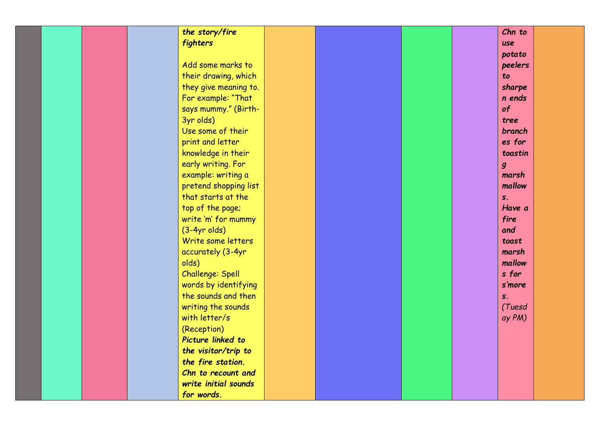|  | the story/fire          |  |  | Chn to           |
|--|-------------------------|--|--|------------------|
|  | fighters                |  |  | use              |
|  |                         |  |  | potato           |
|  | Add some marks to       |  |  | peelers          |
|  | their drawing, which    |  |  | to               |
|  | they give meaning to.   |  |  | sharpe           |
|  | For example: "That      |  |  | n ends           |
|  | says mummy." (Birth-    |  |  | of               |
|  | 3yr olds)               |  |  | tree             |
|  | Use some of their       |  |  | branch           |
|  | print and letter        |  |  | es for           |
|  | knowledge in their      |  |  | toastin          |
|  | early writing. For      |  |  | $\boldsymbol{g}$ |
|  | example: writing a      |  |  | marsh            |
|  | pretend shopping list   |  |  | mallow           |
|  | that starts at the      |  |  | S <sub>x</sub>   |
|  | top of the page;        |  |  | Have a           |
|  | write 'm' for mummy     |  |  | fire             |
|  | $(3-4yr$ olds)          |  |  | and              |
|  | Write some letters      |  |  | toast            |
|  | accurately (3-4yr       |  |  | marsh            |
|  | olds)                   |  |  | mallow           |
|  | <b>Challenge: Spell</b> |  |  | s for            |
|  | words by identifying    |  |  | s'more           |
|  | the sounds and then     |  |  | S <sub>z</sub>   |
|  | writing the sounds      |  |  | (Tuesd           |
|  | with letter/s           |  |  | ay PM)           |
|  | (Reception)             |  |  |                  |
|  | Picture linked to       |  |  |                  |
|  | the visitor/trip to     |  |  |                  |
|  | the fire station.       |  |  |                  |
|  | Chn to recount and      |  |  |                  |
|  | write initial sounds    |  |  |                  |
|  | for words.              |  |  |                  |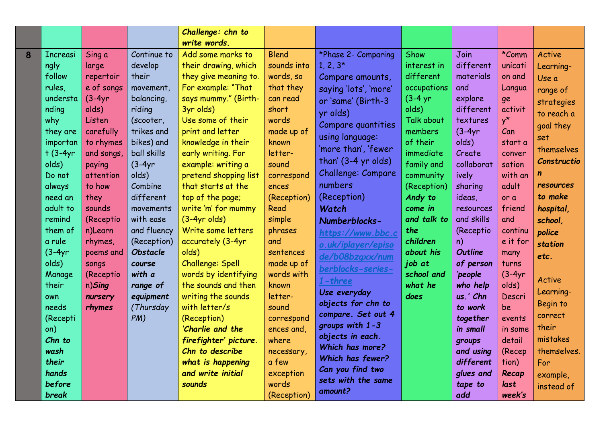|   |                 |            |                 | Challenge: chn to       |                    |                       |             |                |             |             |
|---|-----------------|------------|-----------------|-------------------------|--------------------|-----------------------|-------------|----------------|-------------|-------------|
|   |                 |            |                 | write words.            |                    |                       |             |                |             |             |
| 8 | <b>Increasi</b> | Sing a     | Continue to     | Add some marks to       | <b>Blend</b>       | *Phase 2- Comparing   | Show        | Join           | *Comm       | Active      |
|   | ngly            | large      | develop         | their drawing, which    | sounds into        | $1, 2, 3*$            | interest in | different      | unicati     | Learning-   |
|   | follow          | repertoir  | their           | they give meaning to.   | words, so          | Compare amounts,      | different   | materials      | on and      | Use a       |
|   | rules,          | e of songs | movement,       | For example: "That      | that they          | saying 'lots', 'more' | occupations | and            | Langua      | range of    |
|   | understa        | $(3-4yr)$  | balancing,      | says mummy." (Birth-    | can read           | or 'same' (Birth-3    | $(3-4)$ yr  | explore        | ge          | strategies  |
|   | nding           | olds)      | riding          | 3yr olds)               | short              | yr olds)              | olds)       | different      | activit     | to reach a  |
|   | why             | Listen     | (scooter,       | Use some of their       | words              | Compare quantities    | Talk about  | textures       | $y^{\star}$ | goal they   |
|   | they are        | carefully  | trikes and      | print and letter        | made up of         | using language:       | members     | $(3-4yr)$      | Can         | set         |
|   | importan        | to rhymes  | bikes) and      | knowledge in their      | known              | 'more than', 'fewer   | of their    | olds)          | start a     | themselves  |
|   | $t$ (3-4yr      | and songs, | ball skills     | early writing. For      | letter-            |                       | immediate   | Create         | conver      |             |
|   | olds)           | paying     | $(3-4yr)$       | example: writing a      | sound              | than' (3-4 yr olds)   | family and  | collaborat     | sation      | Constructio |
|   | Do not          | attention  | olds)           | pretend shopping list   | correspond         | Challenge: Compare    | community   | ively          | with an     |             |
|   | always          | to how     | Combine         | that starts at the      | ences              | numbers               | (Reception) | sharing        | adult       | resources   |
|   | need an         | they       | different       | top of the page;        | (Reception)        | (Reception)           | Andy to     | ideas,         | or a        | to make     |
|   | adult to        | sounds     | movements       | write 'm' for mummy     | Read               | Watch                 | come in     | resources      | friend      | hospital,   |
|   | remind          | (Receptio  | with ease       | $(3-4yr$ olds)          | simple             | Numberblocks-         | and talk to | and skills     | and         | school,     |
|   | them of         | n)Learn    | and fluency     | Write some letters      | phrases            | https://www.bbc.c     | the         | (Receptio)     | continu     | police      |
|   | a rule          | rhymes,    | (Reception)     | accurately (3-4yr       | and                | o.uk/iplayer/episo    | children    | n)             | e it for    | station     |
|   | $(3-4yr)$       | poems and  | <b>Obstacle</b> | olds)                   | sentences          | de/b08bzgxx/num       | about his   | <b>Outline</b> | many        | etc.        |
|   | olds)           | songs      | course          | <b>Challenge: Spell</b> | made up of         | berblocks-series-     | job at      | of person      | turns       |             |
|   | Manage          | (Receptio  | with a          | words by identifying    | words with         | $1$ -three            | school and  | 'people        | $(3-4yr)$   | Active      |
|   | their           | n)Sing     | range of        | the sounds and then     | known              | Use everyday          | what he     | who help       | olds)       | Learning-   |
|   | own             | nursery    | equipment       | writing the sounds      | letter-            | objects for chn to    | does        | us.' Chn       | Descri      | Begin to    |
|   | needs           | rhymes     | (Thursday       | with letter/s           | sound              | compare. Set out 4    |             | to work        | be          | correct     |
|   | (Recepti        |            | PM)             | (Reception)             | correspond         | groups with 1-3       |             | together       | events      | their       |
|   | on)             |            |                 | 'Charlie and the        | ences and,         | objects in each.      |             | in small       | in some     | mistakes    |
|   | Chn to          |            |                 | firefighter' picture.   | where              | Which has more?       |             | groups         | detail      |             |
|   | wash            |            |                 | Chn to describe         | necessary,         | Which has fewer?      |             | and using      | (Recep      | themselves. |
|   | their<br>hands  |            |                 | what is happening       | a few              | Can you find two      |             | different      | tion)       | For         |
|   |                 |            |                 | and write initial       | exception<br>words | sets with the same    |             | glues and      | Recap       | example,    |
|   | before          |            |                 | sounds                  |                    | amount?               |             | tape to        | last        | instead of  |
|   | break           |            |                 |                         | (Reception)        |                       |             | add            | week's      |             |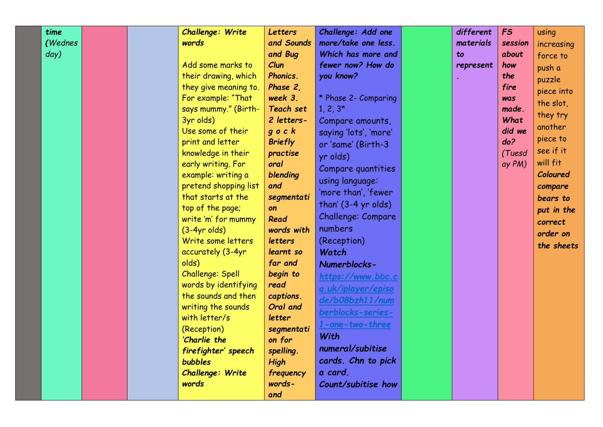| time    |  | Challenge: Write                     | <b>Letters</b>        | Challenge: Add one    | different | <b>FS</b>  | using      |
|---------|--|--------------------------------------|-----------------------|-----------------------|-----------|------------|------------|
| (Wednes |  | words                                | and Sounds            | more/take one less.   | materials | session    | increasing |
| day)    |  |                                      | and Bug               | Which has more and    | to        | about      | force to   |
|         |  | Add some marks to                    | Clun                  | fewer now? How do     | represent | how        | push a     |
|         |  | their drawing, which                 | Phonics.              | you know?             |           | the        | puzzle     |
|         |  | they give meaning to.                | Phase 2,              |                       |           | fire       | piece into |
|         |  | For example: "That                   | week 3.               | * Phase 2- Comparing  |           | <b>Was</b> | the slot,  |
|         |  | says mummy." (Birth-                 | <b>Teach set</b>      | $1, 2, 3*$            |           | made.      | they try   |
|         |  | 3yr olds)                            | 2 letters-            | Compare amounts,      |           | What       | another    |
|         |  | Use some of their                    | $q$ o $c$ $k$         | saying 'lots', 'more' |           | did we     |            |
|         |  | print and letter                     | <b>Briefly</b>        | or 'same' (Birth-3    |           | do?        | piece to   |
|         |  | knowledge in their                   | practise              | yr olds)              |           | (Tuesd     | see if it  |
|         |  | early writing. For                   | oral                  | Compare quantities    |           | ay PM)     | will fit   |
|         |  | example: writing a                   | blending              | using language:       |           |            | Coloured   |
|         |  | pretend shopping list                | and                   | 'more than', 'fewer   |           |            | compare    |
|         |  | that starts at the                   | segmentati            | than' (3-4 yr olds)   |           |            | bears to   |
|         |  | top of the page;                     | on                    | Challenge: Compare    |           |            | put in the |
|         |  | write 'm' for mummy                  | Read                  | numbers               |           |            | correct    |
|         |  | $(3-4yr$ olds)<br>Write some letters | words with<br>letters |                       |           |            | order on   |
|         |  |                                      | learnt so             | (Reception)           |           |            | the sheets |
|         |  | accurately (3-4yr<br>olds)           | far and               | Watch                 |           |            |            |
|         |  | Challenge: Spell                     | begin to              | Numerblocks-          |           |            |            |
|         |  | words by identifying                 | read                  | https://www.bbc.c     |           |            |            |
|         |  | the sounds and then                  | captions.             | o.uk/iplayer/episo    |           |            |            |
|         |  | writing the sounds                   | Oral and              | de/b08bzh11/num       |           |            |            |
|         |  | with letter/s                        | letter                | berblocks-series-     |           |            |            |
|         |  | (Reception)                          | segmentati            | 1-one-two-three       |           |            |            |
|         |  | 'Charlie the                         | on for                | With                  |           |            |            |
|         |  | firefighter' speech                  | spelling.             | numeral/subitise      |           |            |            |
|         |  | <b>bubbles</b>                       | <b>High</b>           | cards. Chn to pick    |           |            |            |
|         |  | <b>Challenge: Write</b>              | frequency             | a card.               |           |            |            |
|         |  | words                                | words-                | Count/subitise how    |           |            |            |
|         |  |                                      | and                   |                       |           |            |            |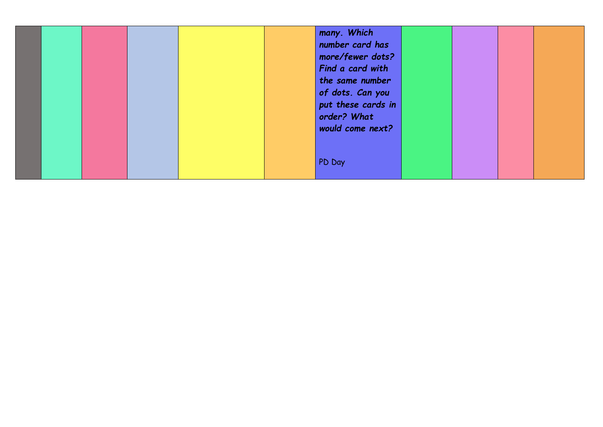|  | many. Which<br>number card has<br>more/fewer dots?<br>Find a card with<br>the same number<br>of dots. Can you<br>put these cards in<br>order? What<br>would come next? |  |
|--|------------------------------------------------------------------------------------------------------------------------------------------------------------------------|--|
|  | PD Day                                                                                                                                                                 |  |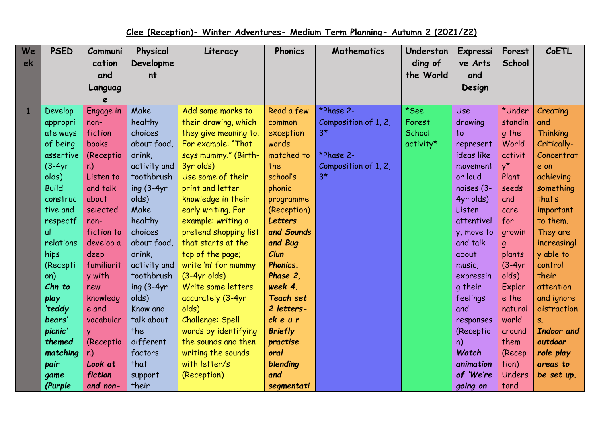## **Clee (Reception)- Winter Adventures- Medium Term Planning- Autumn 2 (2021/22)**

| We | <b>PSED</b>  | Communi    | Physical      | Literacy              | <b>Phonics</b>   | <b>Mathematics</b>   | Understan | Expressi        | Forest      | CoETL           |
|----|--------------|------------|---------------|-----------------------|------------------|----------------------|-----------|-----------------|-------------|-----------------|
| ek |              | cation     | Developme     |                       |                  |                      | ding of   | ve Arts         | School      |                 |
|    |              | and        | nt            |                       |                  |                      | the World | and             |             |                 |
|    |              | Languag    |               |                       |                  |                      |           | Design          |             |                 |
|    |              |            |               |                       |                  |                      |           |                 |             |                 |
|    | Develop      | Engage in  | Make          | Add some marks to     | Read a few       | *Phase 2-            | *See      | <b>Use</b>      | *Under      | Creating        |
|    | appropri     | non-       | healthy       | their drawing, which  | common           | Composition of 1, 2, | Forest    | drawing         | standin     | and             |
|    | ate ways     | fiction    | choices       | they give meaning to. | exception        | $3*$                 | School    | $\overline{10}$ | g the       | <b>Thinking</b> |
|    | of being     | books      | about food,   | For example: "That    | words            |                      | activity* | represent       | World       | Critically-     |
|    | assertive    | (Receptio  | drink,        | says mummy." (Birth-  | matched to       | *Phase 2-            |           | ideas like      | activit     | Concentrat      |
|    | $(3-4yr)$    | n)         | activity and  | 3yr olds)             | the              | Composition of 1, 2, |           | movement        | $v^{\star}$ | e on            |
|    | olds)        | Listen to  | toothbrush    | Use some of their     | school's         | $3*$                 |           | or loud         | Plant       | achieving       |
|    | <b>Build</b> | and talk   | ing $(3-4yr)$ | print and letter      | phonic           |                      |           | noises (3-      | seeds       | something       |
|    | construc     | about      | olds)         | knowledge in their    | programme        |                      |           | 4yr olds)       | and         | that's          |
|    | tive and     | selected   | Make          | early writing. For    | (Reception)      |                      |           | Listen          | care        | important       |
|    | respectf     | non-       | healthy       | example: writing a    | <b>Letters</b>   |                      |           | attentivel      | for         | to them.        |
|    | ul           | fiction to | choices       | pretend shopping list | and Sounds       |                      |           | y, move to      | growin      | They are        |
|    | relations    | develop a  | about food,   | that starts at the    | and Bug          |                      |           | and talk        | q           | increasingl     |
|    | hips         | deep       | drink,        | top of the page;      | Clun             |                      |           | about           | plants      | y able to       |
|    | (Recepti     | familiarit | activity and  | write 'm' for mummy   | Phonics.         |                      |           | music,          | $(3-4yr)$   | control         |
|    | on)          | y with     | toothbrush    | $(3-4yr$ olds)        | Phase 2,         |                      |           | expressin       | olds)       | their           |
|    | Chn to       | new        | ing $(3-4yr)$ | Write some letters    | week 4.          |                      |           | g their         | Explor      | attention       |
|    | play         | knowledg   | olds)         | accurately (3-4yr     | <b>Teach set</b> |                      |           | feelings        | e the       | and ignore      |
|    | 'teddy       | e and      | Know and      | olds)                 | 2 letters-       |                      |           | and             | natural     | distraction     |
|    | bears'       | vocabular  | talk about    | Challenge: Spell      | ckeur            |                      |           | responses       | world       | $S_{-}$         |
|    | picnic'      | Ÿ.         | the           | words by identifying  | <b>Briefly</b>   |                      |           | (Receptio       | around      | Indoor and      |
|    | themed       | (Receptio  | different     | the sounds and then   | practise         |                      |           | n)              | them        | outdoor         |
|    | matching     | n)         | factors       | writing the sounds    | oral             |                      |           | Watch           | (Recep      | role play       |
|    | pair         | Look at    | that          | with letter/s         | blending         |                      |           | animation       | tion)       | areas to        |
|    | game         | fiction    | support       | (Reception)           | and              |                      |           | of 'We're       | Unders      | be set up.      |
|    | (Purple      | and non-   | their         |                       | segmentati       |                      |           | going on        | tand        |                 |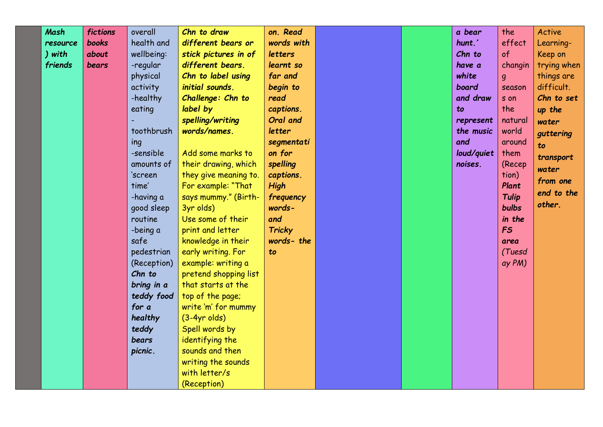| <b>Mash</b> | fictions     | overall     | Chn to draw           | on. Read       |  | a bear     | the          | Active      |
|-------------|--------------|-------------|-----------------------|----------------|--|------------|--------------|-------------|
| resource    | <b>books</b> | health and  | different bears or    | words with     |  | hunt.'     | effect       | Learning-   |
| ) with      | about        | wellbeing:  | stick pictures in of  | <b>letters</b> |  | Chn to     | $\circ$ f    | Keep on     |
| friends     | bears        | -regular    | different bears.      | learnt so      |  | have a     | changin      | trying when |
|             |              | physical    | Chn to label using    | far and        |  | white      | g            | things are  |
|             |              | activity    | initial sounds.       | begin to       |  | board      | season       | difficult.  |
|             |              | -healthy    | Challenge: Chn to     | read           |  | and draw   | s on         | Chn to set  |
|             |              | eating      | label by              | captions.      |  | to         | the          | up the      |
|             |              |             | spelling/writing      | Oral and       |  | represent  | natural      | water       |
|             |              | toothbrush  | words/names.          | letter         |  | the music  | world        | guttering   |
|             |              | ing         |                       | segmentati     |  | and        | around       | to          |
|             |              | -sensible   | Add some marks to     | on for         |  | loud/quiet | them         | transport   |
|             |              | amounts of  | their drawing, which  | spelling       |  | noises.    | (Recep       | water       |
|             |              | 'screen     | they give meaning to. | captions.      |  |            | tion)        | from one    |
|             |              | time'       | For example: "That    | <b>High</b>    |  |            | Plant        | end to the  |
|             |              | -having a   | says mummy." (Birth-  | frequency      |  |            | <b>Tulip</b> | other.      |
|             |              | good sleep  | 3yr olds)             | words-         |  |            | <b>bulbs</b> |             |
|             |              | routine     | Use some of their     | and            |  |            | in the       |             |
|             |              | -being a    | print and letter      | <b>Tricky</b>  |  |            | <b>FS</b>    |             |
|             |              | safe        | knowledge in their    | words-the      |  |            | area         |             |
|             |              | pedestrian  | early writing. For    | to             |  |            | (Tuesd       |             |
|             |              | (Reception) | example: writing a    |                |  |            | ay PM)       |             |
|             |              | Chn to      | pretend shopping list |                |  |            |              |             |
|             |              | bring in a  | that starts at the    |                |  |            |              |             |
|             |              | teddy food  | top of the page;      |                |  |            |              |             |
|             |              | for a       | write 'm' for mummy   |                |  |            |              |             |
|             |              | healthy     | $(3-4yr$ olds)        |                |  |            |              |             |
|             |              | teddy       | Spell words by        |                |  |            |              |             |
|             |              | bears       | identifying the       |                |  |            |              |             |
|             |              | picnic.     | sounds and then       |                |  |            |              |             |
|             |              |             | writing the sounds    |                |  |            |              |             |
|             |              |             | with letter/s         |                |  |            |              |             |
|             |              |             | (Reception)           |                |  |            |              |             |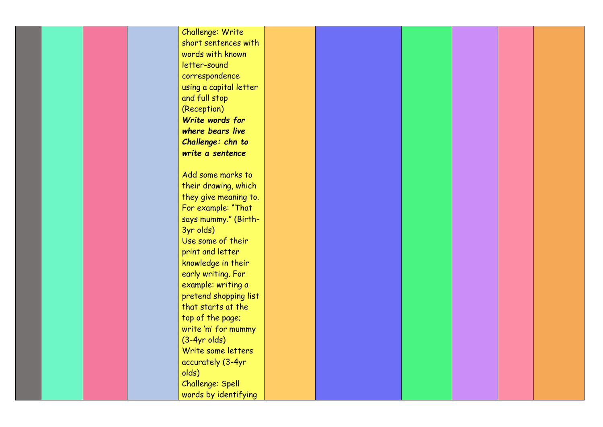|       | Challenge: Write       |  |  |
|-------|------------------------|--|--|
|       | short sentences with   |  |  |
|       | words with known       |  |  |
|       | letter-sound           |  |  |
|       | correspondence         |  |  |
|       |                        |  |  |
|       | using a capital letter |  |  |
|       | and full stop          |  |  |
|       | (Reception)            |  |  |
|       | Write words for        |  |  |
|       | where bears live       |  |  |
|       | Challenge: chn to      |  |  |
|       | write a sentence       |  |  |
|       |                        |  |  |
|       | Add some marks to      |  |  |
|       | their drawing, which   |  |  |
|       | they give meaning to.  |  |  |
|       | For example: "That     |  |  |
|       | says mummy." (Birth-   |  |  |
|       | 3yr olds)              |  |  |
|       | Use some of their      |  |  |
|       | print and letter       |  |  |
|       | knowledge in their     |  |  |
|       | early writing. For     |  |  |
|       | example: writing a     |  |  |
|       | pretend shopping list  |  |  |
|       | that starts at the     |  |  |
|       |                        |  |  |
|       | top of the page;       |  |  |
|       | write 'm' for mummy    |  |  |
|       | $(3-4yr$ olds)         |  |  |
|       | Write some letters     |  |  |
|       | accurately (3-4yr      |  |  |
| olds) |                        |  |  |
|       | Challenge: Spell       |  |  |
|       | words by identifying   |  |  |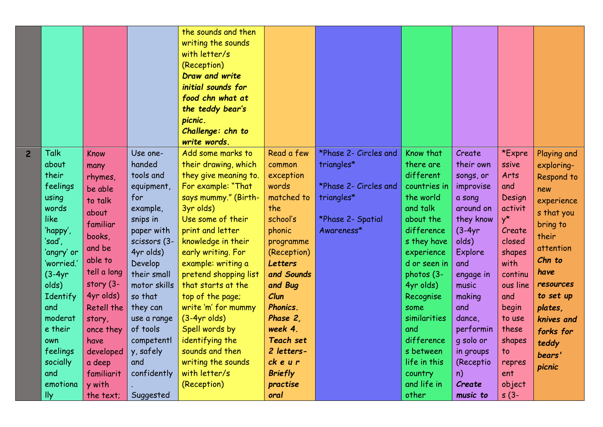|                |                 |                   |                         | the sounds and then<br>writing the sounds<br>with letter/s<br>(Reception)<br>Draw and write<br>initial sounds for<br>food chn what at<br>the teddy bear's<br>picnic.<br>Challenge: chn to |                 |                       |                   |               |                 |             |
|----------------|-----------------|-------------------|-------------------------|-------------------------------------------------------------------------------------------------------------------------------------------------------------------------------------------|-----------------|-----------------------|-------------------|---------------|-----------------|-------------|
|                |                 |                   |                         | write words.                                                                                                                                                                              |                 |                       |                   |               |                 |             |
| $\overline{2}$ | <b>Talk</b>     | <b>Know</b>       | Use one-                | Add some marks to                                                                                                                                                                         | Read a few      | *Phase 2- Circles and | Know that         | Create        | *Expre          | Playing and |
|                | about           | many              | handed                  | their drawing, which                                                                                                                                                                      | common          | triangles*            | there are         | their own     | ssive           | exploring-  |
|                | their           | rhymes,           | tools and               | they give meaning to.                                                                                                                                                                     | exception       |                       | different         | songs, or     | Arts            | Respond to  |
|                | feelings        | be able           | equipment,              | For example: "That                                                                                                                                                                        | words           | *Phase 2- Circles and | countries in      | improvise     | and             | new         |
|                | using           | to talk           | for                     | says mummy." (Birth-                                                                                                                                                                      | matched to      | triangles*            | the world         | a song        | Design          | experience  |
|                | words           | about             | example,                | 3yr olds)                                                                                                                                                                                 | the             |                       | and talk          | around on     | activit         | s that you  |
|                | <b>like</b>     | familiar          | snips in                | Use some of their                                                                                                                                                                         | school's        | *Phase 2- Spatial     | about the         | they know     | $y^{\star}$     | bring to    |
|                | 'happy',        | books,            | paper with              | print and letter                                                                                                                                                                          | phonic          | Awareness*            | difference        | $(3-4yr)$     | Create          | their       |
|                | 'sad',          | and be            | scissors (3-            | knowledge in their                                                                                                                                                                        | programme       |                       | s they have       | olds)         | closed          | attention   |
|                | 'angry' or      | able to           | 4yr olds)               | early writing. For                                                                                                                                                                        | (Reception)     |                       | experience        | Explore       | shapes          | Chn to      |
|                | 'worried.'      | tell a long       | Develop                 | example: writing a                                                                                                                                                                        | <b>Letters</b>  |                       | d or seen in      | and           | with            | have        |
|                | $(3-4yr)$       | story (3-         | their small             | pretend shopping list                                                                                                                                                                     | and Sounds      |                       | photos (3-        | engage in     | continu         | resources   |
|                | olds)           | 4yr olds)         | motor skills<br>so that | that starts at the                                                                                                                                                                        | and Bug<br>Clun |                       | 4yr olds)         | music         | ous line<br>and | to set up   |
|                | Identify<br>and | <b>Retell the</b> | they can                | top of the page;<br>write 'm' for mummy                                                                                                                                                   | <b>Phonics.</b> |                       | Recognise<br>some | making<br>and | begin           | plates,     |
|                | moderat         | story,            | use a range             | $(3-4yr$ olds)                                                                                                                                                                            | Phase 2.        |                       | similarities      | dance,        | to use          | knives and  |
|                | e their         | once they         | of tools                | Spell words by                                                                                                                                                                            | week 4.         |                       | and               | performin     | these           |             |
|                | own             | have              | competentl              | identifying the                                                                                                                                                                           | Teach set       |                       | difference        | g solo or     | shapes          | forks for   |
|                | feelings        | developed         | y, safely               | sounds and then                                                                                                                                                                           | 2 letters-      |                       | s between         | in groups     | to              | teddy       |
|                | socially        | a deep            | and                     | writing the sounds                                                                                                                                                                        | ckeur           |                       | life in this      | (Receptio     | repres          | bears'      |
|                | and             | familiarit        | confidently             | with letter/s                                                                                                                                                                             | <b>Briefly</b>  |                       | country           | n)            | ent             | picnic      |
|                | emotiona        | y with            |                         | (Reception)                                                                                                                                                                               | practise        |                       | and life in       | Create        | object          |             |
|                | lly             | the text;         | Suggested               |                                                                                                                                                                                           | oral            |                       | other             | music to      | $s(3-$          |             |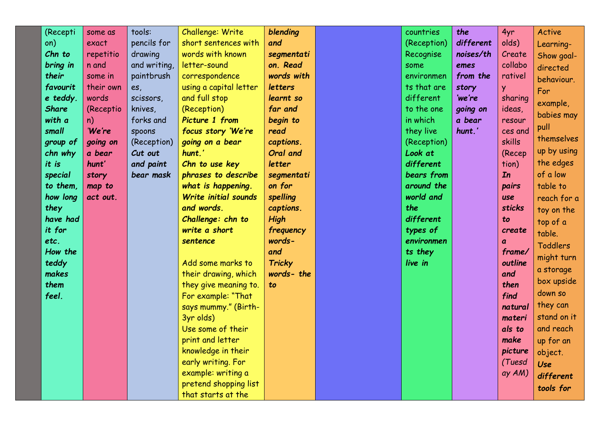| (Recepti     | some as   | tools:       | Challenge: Write       | blending      | countries   | the       | 4yr           | Active          |
|--------------|-----------|--------------|------------------------|---------------|-------------|-----------|---------------|-----------------|
| on)          | exact     | pencils for  | short sentences with   | and           | (Reception) | different | olds)         | Learning-       |
| Chn to       | repetitio | drawing      | words with known       | segmentati    | Recognise   | noises/th | Create        | Show goal-      |
| bring in     | n and     | and writing, | letter-sound           | on. Read      | some        | emes      | collabo       | directed        |
| their        | some in   | paintbrush   | correspondence         | words with    | environmen  | from the  | rativel       | behaviour.      |
| favourit     | their own | es,          | using a capital letter | letters       | ts that are | story     | <b>y</b>      | For             |
| e teddy.     | words     | scissors,    | and full stop          | learnt so     | different   | 'we're    | sharing       | example,        |
| <b>Share</b> | (Receptio | knives,      | (Reception)            | far and       | to the one  | going on  | ideas,        |                 |
| with a       | n)        | forks and    | Picture 1 from         | begin to      | in which    | a bear    | resour        | babies may      |
| small        | 'We're    | spoons       | focus story 'We're     | read          | they live   | hunt.'    | ces and       | pull            |
| group of     | going on  | (Reception)  | going on a bear        | captions.     | (Reception) |           | skills        | themselves      |
| chn why      | a bear    | Cut out      | hunt.'                 | Oral and      | Look at     |           | (Recep        | up by using     |
| it is        | hunt'     | and paint    | Chn to use key         | letter        | different   |           | tion)         | the edges       |
| special      | story     | bear mask    | phrases to describe    | segmentati    | bears from  |           | In            | of a low        |
| to them,     | map to    |              | what is happening.     | on for        | around the  |           | pairs         | table to        |
| how long     | act out.  |              | Write initial sounds   | spelling      | world and   |           | <b>use</b>    | reach for a     |
| they         |           |              | and words.             | captions.     | the         |           | <b>sticks</b> | toy on the      |
| have had     |           |              | Challenge: chn to      | High          | different   |           | to            | top of a        |
| it for       |           |              | write a short          | frequency     | types of    |           | create        | table.          |
| etc.         |           |              | sentence               | words-        | environmen  |           | a             | <b>Toddlers</b> |
| How the      |           |              |                        | and           | ts they     |           | frame/        | might turn      |
| teddy        |           |              | Add some marks to      | <b>Tricky</b> | live in     |           | outline       | a storage       |
| makes        |           |              | their drawing, which   | words- the    |             |           | and           |                 |
| them         |           |              | they give meaning to.  | to            |             |           | then          | box upside      |
| feel.        |           |              | For example: "That     |               |             |           | find          | down so         |
|              |           |              | says mummy." (Birth-   |               |             |           | natural       | they can        |
|              |           |              | 3yr olds)              |               |             |           | materi        | stand on it     |
|              |           |              | Use some of their      |               |             |           | als to        | and reach       |
|              |           |              | print and letter       |               |             |           | make          | up for an       |
|              |           |              | knowledge in their     |               |             |           | picture       | object.         |
|              |           |              | early writing. For     |               |             |           | (Tuesd        | Use             |
|              |           |              | example: writing a     |               |             |           | ay AM)        | different       |
|              |           |              | pretend shopping list  |               |             |           |               | tools for       |
|              |           |              | that starts at the     |               |             |           |               |                 |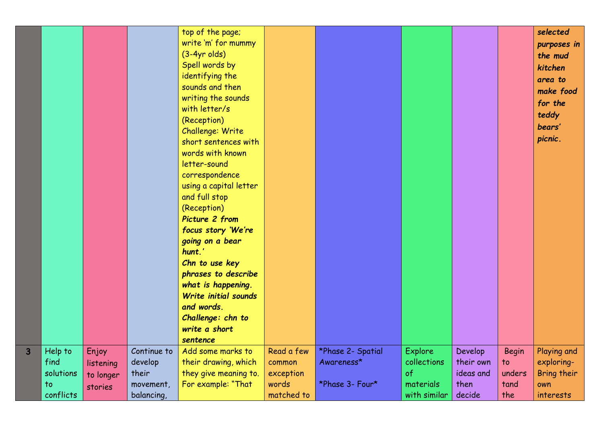|              |                                                 |                                            |                                                            | top of the page;<br>write 'm' for mummy<br>$(3-4yr$ olds)<br>Spell words by<br>identifying the<br>sounds and then<br>writing the sounds<br>with letter/s<br>(Reception)<br>Challenge: Write<br>short sentences with<br>words with known<br>letter-sound<br>correspondence<br>using a capital letter<br>and full stop<br>(Reception)<br>Picture 2 from<br>focus story 'We're<br>going on a bear<br>hunt.'<br>Chn to use key<br>phrases to describe<br>what is happening.<br>Write initial sounds<br>and words.<br>Challenge: chn to<br>write a short<br>sentence |                                                          |                                                    |                                                           |                                                     |                                             | selected<br>purposes in<br>the mud<br>kitchen<br>area to<br>make food<br>for the<br>teddy<br>bears'<br>picnic. |
|--------------|-------------------------------------------------|--------------------------------------------|------------------------------------------------------------|-----------------------------------------------------------------------------------------------------------------------------------------------------------------------------------------------------------------------------------------------------------------------------------------------------------------------------------------------------------------------------------------------------------------------------------------------------------------------------------------------------------------------------------------------------------------|----------------------------------------------------------|----------------------------------------------------|-----------------------------------------------------------|-----------------------------------------------------|---------------------------------------------|----------------------------------------------------------------------------------------------------------------|
| $\mathbf{3}$ | Help to<br>find<br>solutions<br>to<br>conflicts | Enjoy<br>listening<br>to longer<br>stories | Continue to<br>develop<br>their<br>movement,<br>balancing, | Add some marks to<br>their drawing, which<br>they give meaning to.<br>For example: "That                                                                                                                                                                                                                                                                                                                                                                                                                                                                        | Read a few<br>common<br>exception<br>words<br>matched to | *Phase 2- Spatial<br>Awareness*<br>*Phase 3- Four* | Explore<br>collections<br>of<br>materials<br>with similar | Develop<br>their own<br>ideas and<br>then<br>decide | <b>Begin</b><br>to<br>unders<br>tand<br>the | Playing and<br>exploring-<br>Bring their<br>own<br>interests                                                   |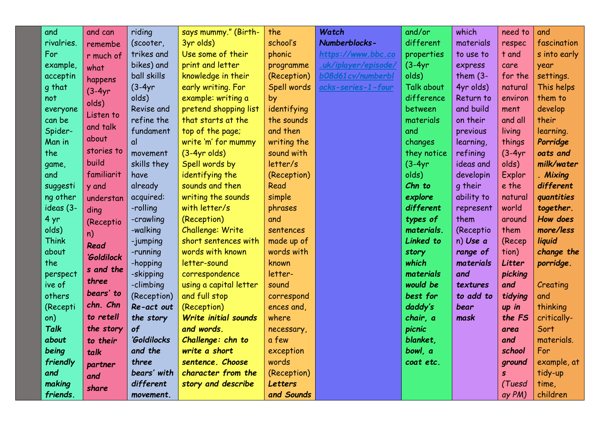| and          | and can    | riding       | says mummy." (Birth-   | the         | Watch                | and/or      | which       | need to      | and          |
|--------------|------------|--------------|------------------------|-------------|----------------------|-------------|-------------|--------------|--------------|
| rivalries.   | remembe    | (scooter,    | 3yr olds)              | school's    | Numberblocks-        | different   | materials   | respec       | fascination  |
| For          | r much of  | trikes and   | Use some of their      | phonic      | https://www.bbc.co   | properties  | to use to   | t and        | s into early |
| example,     | what       | bikes) and   | print and letter       | programme   | .uk/iplayer/episode/ | $(3-4yr)$   | express     | care         | year         |
| acceptin     | happens    | ball skills  | knowledge in their     | (Reception) | b08d61 cv/numberbl   | olds)       | them $(3 -$ | for the      | settings.    |
| g that       | $(3-4yr)$  | $(3-4yr)$    | early writing. For     | Spell words | ocks-series-1-four   | Talk about  | 4yr olds)   | natural      | This helps   |
| not          | olds)      | olds)        | example: writing a     | by          |                      | difference  | Return to   | environ      | them to      |
| everyone     | Listen to  | Revise and   | pretend shopping list  | identifying |                      | between     | and build   | ment         | develop      |
| can be       |            | refine the   | that starts at the     | the sounds  |                      | materials   | on their    | and all      | their        |
| Spider-      | and talk   | fundament    | top of the page;       | and then    |                      | and         | previous    | living       | learning.    |
| Man in       | about      | $\mathsf{d}$ | write 'm' for mummy    | writing the |                      | changes     | learning,   | things       | Porridge     |
| the          | stories to | movement     | $(3-4yr$ olds)         | sound with  |                      | they notice | refining    | $(3-4yr)$    | oats and     |
| game,        | build      | skills they  | Spell words by         | letter/s    |                      | $(3-4yr)$   | ideas and   | olds)        | milk/water   |
| and          | familiarit | have         | identifying the        | (Reception) |                      | olds)       | developin   | Explor       | . Mixing     |
| suggesti     | y and      | already      | sounds and then        | Read        |                      | Chn to      | g their     | e the        | different    |
| ng other     | understan  | acquired:    | writing the sounds     | simple      |                      | explore     | ability to  | natural      | quantities   |
| ideas (3-    | ding       | -rolling     | with letter/s          | phrases     |                      | different   | represent   | world        | together.    |
| 4 yr         | (Receptio  | -crawling    | (Reception)            | and         |                      | types of    | them        | around       | How does     |
| olds)        | n)         | -walking     | Challenge: Write       | sentences   |                      | materials.  | (Receptio   | them         | more/less    |
| <b>Think</b> | Read       | -jumping     | short sentences with   | made up of  |                      | Linked to   | n) Use a    | (Recep       | liquid       |
| about        | 'Goldilock | -running     | words with known       | words with  |                      | story       | range of    | tion)        | change the   |
| the          | s and the  | -hopping     | letter-sound           | known       |                      | which       | materials   | Litter       | porridge.    |
| perspect     |            | -skipping    | correspondence         | letter-     |                      | materials   | and         | picking      |              |
| ive of       | three      | -climbing    | using a capital letter | sound       |                      | would be    | textures    | and          | Creating     |
| others       | bears' to  | (Reception)  | and full stop          | correspond  |                      | best for    | to add to   | tidying      | and          |
| (Recepti     | chn. Chn   | Re-act out   | (Reception)            | ences and   |                      | daddy's     | bear        | up in        | thinking     |
| on)          | to retell  | the story    | Write initial sounds   | where       |                      | chair, a    | mask        | the FS       | critically-  |
| <b>Talk</b>  | the story  | of           | and words.             | necessary,  |                      | picnic      |             | area         | Sort         |
| about        | to their   | 'Goldilocks  | Challenge: chn to      | a few       |                      | blanket.    |             | and          | materials.   |
| being        | talk       | and the      | write a short          | exception   |                      | bowl, a     |             | school       | For          |
| friendly     | partner    | three        | sentence. Choose       | words       |                      | coat etc.   |             | ground       | example, at  |
| and          | and        | bears' with  | character from the     | (Reception) |                      |             |             | $\mathbf{s}$ | tidy-up      |
| making       | share      | different    | story and describe     | Letters     |                      |             |             | (Tuesd       | time,        |
| friends.     |            | movement.    |                        | and Sounds  |                      |             |             | ay PM)       | children     |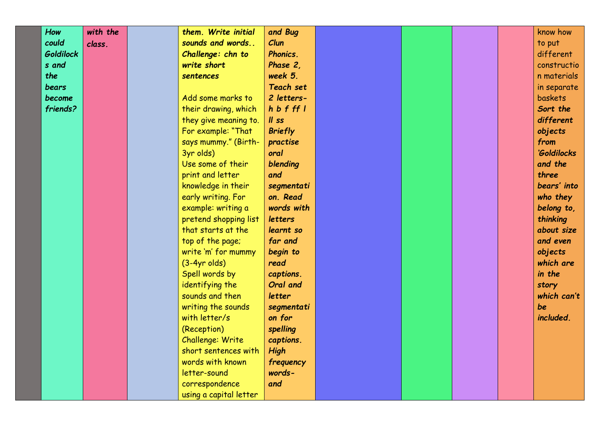| How              | with the | them. Write initial    | and Bug        |  |  | know how    |
|------------------|----------|------------------------|----------------|--|--|-------------|
| could            | class.   | sounds and words       | Clun           |  |  | to put      |
| <b>Goldilock</b> |          | Challenge: chn to      | Phonics.       |  |  | different   |
| s and            |          | write short            | Phase 2,       |  |  | constructio |
| the              |          | sentences              | week 5.        |  |  | n materials |
| bears            |          |                        | Teach set      |  |  | in separate |
| become           |          | Add some marks to      | 2 letters-     |  |  | baskets     |
| friends?         |          | their drawing, which   | h b f f f      |  |  | Sort the    |
|                  |          | they give meaning to.  | $II$ ss        |  |  | different   |
|                  |          | For example: "That     | <b>Briefly</b> |  |  | objects     |
|                  |          | says mummy." (Birth-   | practise       |  |  | from        |
|                  |          | 3yr olds)              | oral           |  |  | 'Goldilocks |
|                  |          | Use some of their      | blending       |  |  | and the     |
|                  |          | print and letter       | and            |  |  | three       |
|                  |          | knowledge in their     | segmentati     |  |  | bears' into |
|                  |          | early writing. For     | on. Read       |  |  | who they    |
|                  |          | example: writing a     | words with     |  |  | belong to,  |
|                  |          | pretend shopping list  | letters        |  |  | thinking    |
|                  |          | that starts at the     | learnt so      |  |  | about size  |
|                  |          | top of the page;       | far and        |  |  | and even    |
|                  |          | write 'm' for mummy    | begin to       |  |  | objects     |
|                  |          | $(3-4yr$ olds)         | read           |  |  | which are   |
|                  |          | Spell words by         | captions.      |  |  | in the      |
|                  |          | identifying the        | Oral and       |  |  | story       |
|                  |          | sounds and then        | letter         |  |  | which can't |
|                  |          | writing the sounds     | segmentati     |  |  | be          |
|                  |          | with letter/s          | on for         |  |  | included.   |
|                  |          | (Reception)            | spelling       |  |  |             |
|                  |          | Challenge: Write       | captions.      |  |  |             |
|                  |          | short sentences with   | <b>High</b>    |  |  |             |
|                  |          | words with known       | frequency      |  |  |             |
|                  |          | letter-sound           | words-         |  |  |             |
|                  |          | correspondence         | and            |  |  |             |
|                  |          | using a capital letter |                |  |  |             |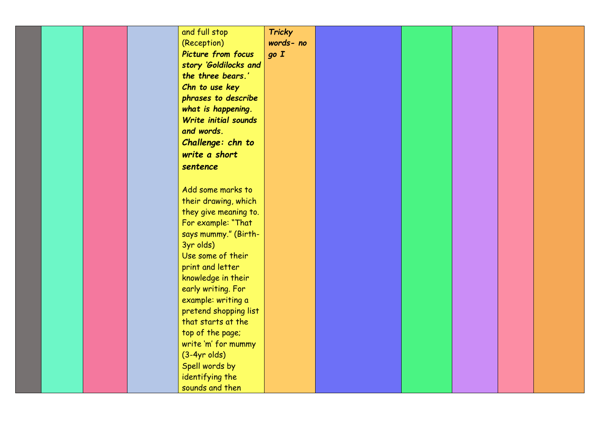|  |  | and full stop             | <b>Tricky</b> |  |  |  |
|--|--|---------------------------|---------------|--|--|--|
|  |  |                           |               |  |  |  |
|  |  | (Reception)               | words- no     |  |  |  |
|  |  | <b>Picture from focus</b> | go I          |  |  |  |
|  |  | story 'Goldilocks and     |               |  |  |  |
|  |  | the three bears.'         |               |  |  |  |
|  |  | Chn to use key            |               |  |  |  |
|  |  | phrases to describe       |               |  |  |  |
|  |  | what is happening.        |               |  |  |  |
|  |  | Write initial sounds      |               |  |  |  |
|  |  | and words.                |               |  |  |  |
|  |  |                           |               |  |  |  |
|  |  | Challenge: chn to         |               |  |  |  |
|  |  | write a short             |               |  |  |  |
|  |  | sentence                  |               |  |  |  |
|  |  |                           |               |  |  |  |
|  |  | Add some marks to         |               |  |  |  |
|  |  | their drawing, which      |               |  |  |  |
|  |  |                           |               |  |  |  |
|  |  | they give meaning to.     |               |  |  |  |
|  |  | For example: "That        |               |  |  |  |
|  |  | says mummy." (Birth-      |               |  |  |  |
|  |  | 3yr olds)                 |               |  |  |  |
|  |  | Use some of their         |               |  |  |  |
|  |  | print and letter          |               |  |  |  |
|  |  | knowledge in their        |               |  |  |  |
|  |  | early writing. For        |               |  |  |  |
|  |  | example: writing a        |               |  |  |  |
|  |  | pretend shopping list     |               |  |  |  |
|  |  | that starts at the        |               |  |  |  |
|  |  |                           |               |  |  |  |
|  |  | top of the page;          |               |  |  |  |
|  |  | write 'm' for mummy       |               |  |  |  |
|  |  | $(3-4yr$ olds)            |               |  |  |  |
|  |  | Spell words by            |               |  |  |  |
|  |  | identifying the           |               |  |  |  |
|  |  | sounds and then           |               |  |  |  |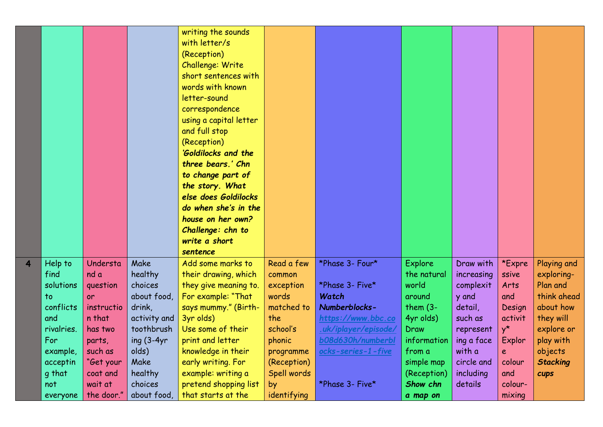|                         |            |            |               | writing the sounds<br>with letter/s<br>(Reception)<br>Challenge: Write<br>short sentences with<br>words with known<br>letter-sound<br>correspondence<br>using a capital letter<br>and full stop<br>(Reception)<br>'Goldilocks and the<br>three bears.' Chn<br>to change part of<br>the story. What<br>else does Goldilocks<br>do when she's in the<br>house on her own?<br>Challenge: chn to<br>write a short |             |                      |             |            |             |                 |
|-------------------------|------------|------------|---------------|---------------------------------------------------------------------------------------------------------------------------------------------------------------------------------------------------------------------------------------------------------------------------------------------------------------------------------------------------------------------------------------------------------------|-------------|----------------------|-------------|------------|-------------|-----------------|
| $\overline{\mathbf{4}}$ | Help to    | Understa   | Make          | sentence<br>Add some marks to                                                                                                                                                                                                                                                                                                                                                                                 | Read a few  | *Phase 3- Four*      | Explore     | Draw with  | *Expre      | Playing and     |
|                         | find       | nd a       | healthy       | their drawing, which                                                                                                                                                                                                                                                                                                                                                                                          | common      |                      | the natural | increasing | ssive       | exploring-      |
|                         | solutions  | question   | choices       | they give meaning to.                                                                                                                                                                                                                                                                                                                                                                                         | exception   | *Phase 3- Five*      | world       | complexit  | Arts        | Plan and        |
|                         | to         | or         | about food,   | For example: "That                                                                                                                                                                                                                                                                                                                                                                                            | words       | Watch                | around      | y and      | and         | think ahead     |
|                         | conflicts  | instructio | drink,        | says mummy." (Birth-                                                                                                                                                                                                                                                                                                                                                                                          | matched to  | Numberblocks-        | them $(3 -$ | detail,    | Design      | about how       |
|                         | and        | n that     | activity and  | 3yr olds)                                                                                                                                                                                                                                                                                                                                                                                                     | the         | https://www.bbc.co   | 4yr olds)   | such as    | activit     | they will       |
|                         | rivalries. | has two    | toothbrush    | Use some of their                                                                                                                                                                                                                                                                                                                                                                                             | school's    | .uk/iplayer/episode/ | Draw        | represent  | $y^{\star}$ | explore or      |
|                         | For        | parts,     | ing $(3-4yr)$ | print and letter                                                                                                                                                                                                                                                                                                                                                                                              | phonic      | b08d630h/numberbl    | information | ing a face | Explor      | play with       |
|                         | example,   | such as    | olds)         | knowledge in their                                                                                                                                                                                                                                                                                                                                                                                            | programme   | ocks-series-1-five   | from a      | with a     | e           | objects         |
|                         | acceptin   | "Get your  | Make          | early writing. For                                                                                                                                                                                                                                                                                                                                                                                            | (Reception) |                      | simple map  | circle and | colour      | <b>Stacking</b> |
|                         | g that     | coat and   | healthy       | example: writing a                                                                                                                                                                                                                                                                                                                                                                                            | Spell words |                      | (Reception) | including  | and         | cups            |
|                         | not        | wait at    | choices       | pretend shopping list                                                                                                                                                                                                                                                                                                                                                                                         | by          | *Phase 3- Five*      | Show chn    | details    | colour-     |                 |
|                         | everyone   | the door." | about food,   | that starts at the                                                                                                                                                                                                                                                                                                                                                                                            | identifying |                      | a map on    |            | mixing      |                 |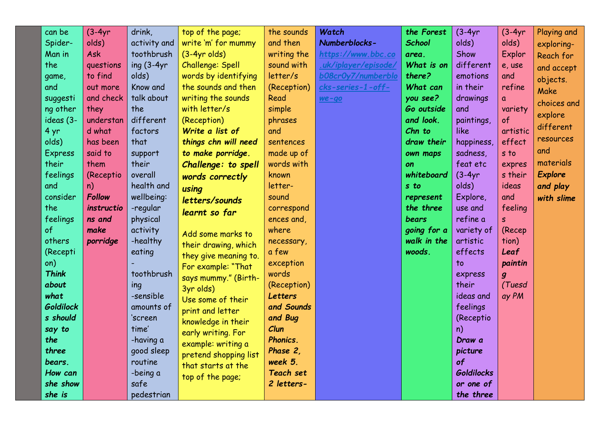| can be         | $(3-4yr)$     | drink,        | top of the page;      | the sounds       | Watch                | the Forest    | $(3-4yr)$         | $(3-4yr)$        | Playing and    |
|----------------|---------------|---------------|-----------------------|------------------|----------------------|---------------|-------------------|------------------|----------------|
| Spider-        | olds)         | activity and  | write 'm' for mummy   | and then         | Numberblocks-        | <b>School</b> | olds)             | olds)            | exploring-     |
| Man in         | Ask           | toothbrush    | $(3-4yr$ olds)        | writing the      | https://www.bbc.co   | area.         | Show              | Explor           | Reach for      |
| the            | questions     | ing $(3-4yr)$ | Challenge: Spell      | sound with       | .uk/iplayer/episode/ | What is on    | different         | e, use           | and accept     |
| game,          | to find       | olds)         | words by identifying  | letter/s         | b08cr0y7/numberblo   | there?        | emotions          | and              |                |
| and            | out more      | Know and      | the sounds and then   | (Reception)      | cks-series-1-off-    | What can      | in their          | refine           | objects.       |
| suggesti       | and check     | talk about    | writing the sounds    | Read             | $we-qo$              | you see?      | drawings          | a                | Make           |
| ng other       | they          | the           | with letter/s         | simple           |                      | Go outside    | and               | variety          | choices and    |
| ideas (3-      | understan     | different     | (Reception)           | phrases          |                      | and look.     | paintings,        | of               | explore        |
| 4 yr           | d what        | factors       | Write a list of       | and              |                      | Chn to        | <b>like</b>       | artistic         | different      |
| olds)          | has been      | that          | things chn will need  | sentences        |                      | draw their    | happiness,        | effect           | resources      |
| <b>Express</b> | said to       | support       | to make porridge.     | made up of       |                      | own maps      | sadness,          | s to             | and            |
| their          | them          | their         | Challenge: to spell   | words with       |                      | on            | feat etc          | expres           | materials      |
| feelings       | (Receptio     | overall       | words correctly       | known            |                      | whiteboard    | $(3-4yr)$         | s their          | <b>Explore</b> |
| and            | n)            | health and    | using                 | letter-          |                      | s to          | olds)             | ideas            | and play       |
| consider       | <b>Follow</b> | wellbeing:    | letters/sounds        | sound            |                      | represent     | Explore,          | and              | with slime     |
| the            | instructio    | -regular      |                       | correspond       |                      | the three     | use and           | feeling          |                |
| feelings       | ns and        | physical      | learnt so far         | ences and,       |                      | bears         | refine a          | S                |                |
| of             | make          | activity      | Add some marks to     | where            |                      | going for a   | variety of        | (Recep           |                |
| others         | porridge      | -healthy      | their drawing, which  | necessary,       |                      | walk in the   | artistic          | tion)            |                |
| (Recepti       |               | eating        | they give meaning to. | a few            |                      | woods.        | effects           | Leaf             |                |
| on)            |               |               | For example: "That    | exception        |                      |               | to                | paintin          |                |
| <b>Think</b>   |               | toothbrush    | says mummy." (Birth-  | words            |                      |               | express           | $\boldsymbol{g}$ |                |
| about          |               | ing           | 3yr olds)             | (Reception)      |                      |               | their             | (Tuesd           |                |
| what           |               | -sensible     | Use some of their     | <b>Letters</b>   |                      |               | ideas and         | ay PM            |                |
| Goldilock      |               | amounts of    | print and letter      | and Sounds       |                      |               | feelings          |                  |                |
| s should       |               | 'screen       | knowledge in their    | and Bug          |                      |               | (Receptio         |                  |                |
| say to         |               | time'         | early writing. For    | Clun             |                      |               | n)                |                  |                |
| the            |               | -having a     | example: writing a    | Phonics.         |                      |               | Draw a            |                  |                |
| three          |               | good sleep    | pretend shopping list | Phase 2.         |                      |               | picture           |                  |                |
| bears.         |               | routine       | that starts at the    | week 5.          |                      |               | of                |                  |                |
| How can        |               | -being a      | top of the page;      | <b>Teach set</b> |                      |               | <b>Goldilocks</b> |                  |                |
| she show       |               | safe          |                       | 2 letters-       |                      |               | or one of         |                  |                |
| she is         |               | pedestrian    |                       |                  |                      |               | the three         |                  |                |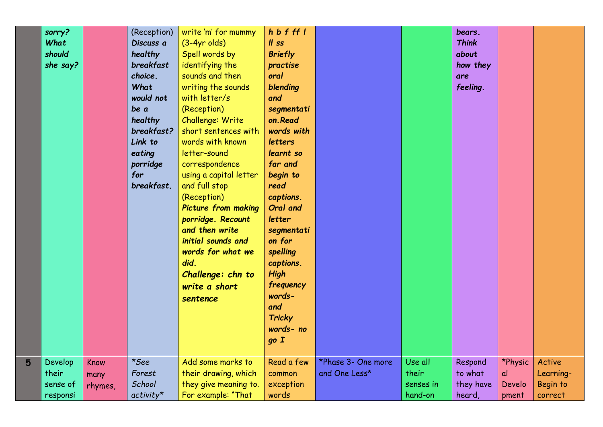|   | sorry?   |         | (Reception) | write 'm' for mummy        | h b f ff l     |                    |           | bears.       |         |           |  |
|---|----------|---------|-------------|----------------------------|----------------|--------------------|-----------|--------------|---------|-----------|--|
|   | What     |         | Discuss a   | $(3-4yr$ olds)             | $II$ ss        |                    |           | <b>Think</b> |         |           |  |
|   | should   |         | healthy     | Spell words by             | <b>Briefly</b> |                    |           | about        |         |           |  |
|   | she say? |         | breakfast   | identifying the            | practise       |                    |           | how they     |         |           |  |
|   |          |         | choice.     | sounds and then            | oral           |                    |           | are          |         |           |  |
|   |          |         | What        | writing the sounds         | blending       |                    |           | feeling.     |         |           |  |
|   |          |         | would not   | with letter/s              | and            |                    |           |              |         |           |  |
|   |          |         | be a        | (Reception)                | segmentati     |                    |           |              |         |           |  |
|   |          |         | healthy     | Challenge: Write           | on.Read        |                    |           |              |         |           |  |
|   |          |         | breakfast?  | short sentences with       | words with     |                    |           |              |         |           |  |
|   |          |         | Link to     | words with known           | letters        |                    |           |              |         |           |  |
|   |          |         | eating      | letter-sound               | learnt so      |                    |           |              |         |           |  |
|   |          |         | porridge    | correspondence             | far and        |                    |           |              |         |           |  |
|   |          |         | for         | using a capital letter     | begin to       |                    |           |              |         |           |  |
|   |          |         | breakfast.  | and full stop              | read           |                    |           |              |         |           |  |
|   |          |         |             | (Reception)                | captions.      |                    |           |              |         |           |  |
|   |          |         |             | <b>Picture from making</b> | Oral and       |                    |           |              |         |           |  |
|   |          |         |             | porridge. Recount          | letter         |                    |           |              |         |           |  |
|   |          |         |             | and then write             | segmentati     |                    |           |              |         |           |  |
|   |          |         |             | initial sounds and         | on for         |                    |           |              |         |           |  |
|   |          |         |             | words for what we          | spelling       |                    |           |              |         |           |  |
|   |          |         |             | did.                       | captions.      |                    |           |              |         |           |  |
|   |          |         |             | Challenge: chn to          | <b>High</b>    |                    |           |              |         |           |  |
|   |          |         |             | write a short              | frequency      |                    |           |              |         |           |  |
|   |          |         |             | sentence                   | words-         |                    |           |              |         |           |  |
|   |          |         |             |                            | and            |                    |           |              |         |           |  |
|   |          |         |             |                            | <b>Tricky</b>  |                    |           |              |         |           |  |
|   |          |         |             |                            | words- no      |                    |           |              |         |           |  |
|   |          |         |             |                            | goI            |                    |           |              |         |           |  |
| 5 | Develop  | Know    | *See        | Add some marks to          | Read a few     | *Phase 3- One more | Use all   | Respond      | *Physic | Active    |  |
|   | their    | many    | Forest      | their drawing, which       | common         | and One Less*      | their     | to what      | αl      | Learning- |  |
|   | sense of | rhymes, | School      | they give meaning to.      | exception      |                    | senses in | they have    | Develo  | Begin to  |  |
|   | responsi |         | $activity*$ | For example: "That         | words          |                    | hand-on   | heard,       | pment   | correct   |  |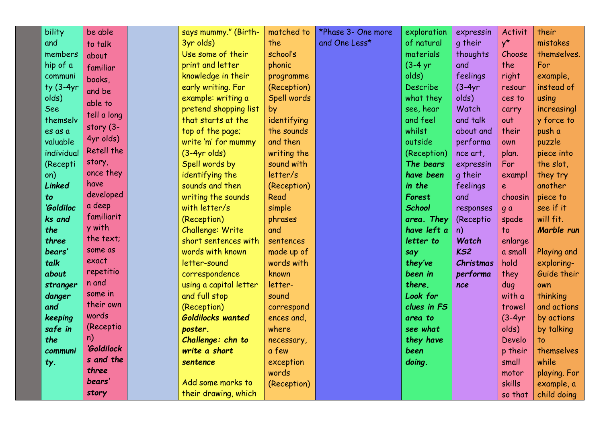| bility        | be able     | says mummy." (Birth-   | matched to  | *Phase 3- One more | exploration   | expressin       | Activit     | their        |
|---------------|-------------|------------------------|-------------|--------------------|---------------|-----------------|-------------|--------------|
| and           | to talk     | 3yr olds)              | the         | and One Less*      | of natural    | q their         | $y^{\star}$ | mistakes     |
| members       |             | Use some of their      | school's    |                    | materials     | thoughts        | Choose      | themselves.  |
| hip of a      | about       | print and letter       | phonic      |                    | $(3-4)$ yr    | and             | the         | For          |
| communi       | familiar    | knowledge in their     | programme   |                    | olds)         | feelings        | right       | example,     |
| $ty(3-4yr)$   | books,      | early writing. For     | (Reception) |                    | Describe      | $(3-4yr)$       | resour      | instead of   |
| olds)         | and be      | example: writing a     | Spell words |                    | what they     | olds)           | ces to      | using        |
| See           | able to     | pretend shopping list  | by          |                    | see, hear     | Watch           | carry       | increasingl  |
| themselv      | tell a long | that starts at the     | identifying |                    | and feel      | and talk        | out         | y force to   |
| es as a       | story (3-   | top of the page;       | the sounds  |                    | whilst        | about and       | their       | push a       |
| valuable      | 4yr olds)   | write 'm' for mummy    | and then    |                    | outside       | performa        | own         | puzzle       |
| individual    | Retell the  | $(3-4yr$ olds)         | writing the |                    | (Reception)   | nce art,        | plan.       | piece into   |
| (Recepti      | story,      | Spell words by         | sound with  |                    | The bears     | expressin       | For         | the slot,    |
| on)           | once they   | identifying the        | letter/s    |                    | have been     | g their         | exampl      | they try     |
| <b>Linked</b> | have        | sounds and then        | (Reception) |                    | in the        | feelings        | $\epsilon$  | another      |
| to            | developed   | writing the sounds     | Read        |                    | Forest        | and             | choosin     | piece to     |
| 'Goldiloc     | a deep      | with letter/s          | simple      |                    | <b>School</b> | responses       | g a         | see if it    |
| ks and        | familiarit  | (Reception)            | phrases     |                    | area. They    | (Receptio       | spade       | will fit.    |
| the           | y with      | Challenge: Write       | and         |                    | have left a   | n)              | $10$        | Marble run   |
| three         | the text;   | short sentences with   | sentences   |                    | letter to     | Watch           | enlarge     |              |
| bears'        | some as     | words with known       | made up of  |                    | say           | KS <sub>2</sub> | a small     | Playing and  |
| talk          | exact       | letter-sound           | words with  |                    | they've       | Christmas       | hold        | exploring-   |
| about         | repetitio   | correspondence         | known       |                    | been in       | performa        | they        | Guide their  |
| stranger      | n and       | using a capital letter | letter-     |                    | there.        | nce             | dug         | own          |
| danger        | some in     | and full stop          | sound       |                    | Look for      |                 | with a      | thinking     |
| and           | their own   | (Reception)            | correspond  |                    | clues in FS   |                 | trowel      | and actions  |
| keeping       | words       | Goldilocks wanted      | ences and,  |                    | area to       |                 | $(3-4yr)$   | by actions   |
| safe in       | (Receptio   | poster.                | where       |                    | see what      |                 | olds)       | by talking   |
| the           | n)          | Challenge: chn to      | necessary,  |                    | they have     |                 | Develo      | to           |
| communi       | 'Goldilock  | write a short          | a few       |                    | been          |                 | p their     | themselves   |
| ty.           | s and the   | sentence               | exception   |                    | doing.        |                 | small       | while        |
|               | three       |                        | words       |                    |               |                 | motor       | playing. For |
|               | bears'      | Add some marks to      | (Reception) |                    |               |                 | skills      | example, a   |
|               | story       | their drawing, which   |             |                    |               |                 | so that     | child doing  |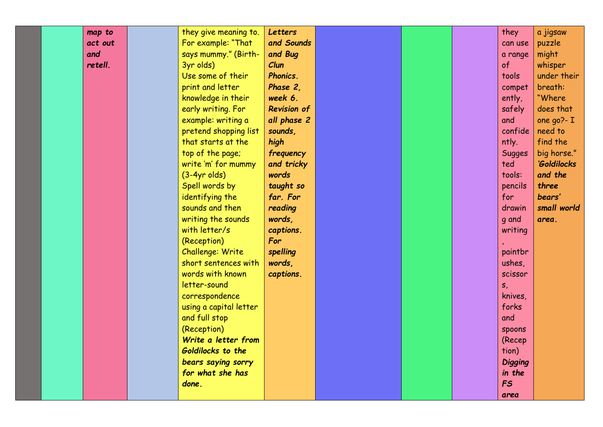| map to  | they give meaning to.  | Letters            |  | they           | a jigsaw      |
|---------|------------------------|--------------------|--|----------------|---------------|
| act out | For example: "That     | and Sounds         |  | can use        | puzzle        |
| and     | says mummy." (Birth-   | and Bug            |  | a range        | might         |
| retell. | 3yr olds)              | Clun               |  | of             | whisper       |
|         | Use some of their      | Phonics.           |  | tools          | under their   |
|         | print and letter       | Phase 2,           |  | compet         | breath:       |
|         | knowledge in their     | week 6.            |  | ently,         | "Where"       |
|         | early writing. For     | <b>Revision of</b> |  | safely         | does that     |
|         | example: writing a     | all phase 2        |  | and            | one $qo$ ?- I |
|         | pretend shopping list  | sounds,            |  | confide        | need to       |
|         | that starts at the     | high               |  | ntly.          | find the      |
|         | top of the page;       | frequency          |  | <b>Sugges</b>  | big horse."   |
|         | write 'm' for mummy    | and tricky         |  | ted            | 'Goldilocks   |
|         | $(3-4yr$ olds)         | words              |  | tools:         | and the       |
|         | Spell words by         | taught so          |  | pencils        | three         |
|         | identifying the        | far. For           |  | for            | bears'        |
|         | sounds and then        | reading            |  | drawin         | small world   |
|         | writing the sounds     | words,             |  | g and          | area.         |
|         | with letter/s          | captions.          |  | writing        |               |
|         | (Reception)            | For                |  |                |               |
|         | Challenge: Write       | spelling           |  | paintbr        |               |
|         | short sentences with   | words,             |  | ushes,         |               |
|         | words with known       | captions.          |  | scissor        |               |
|         | letter-sound           |                    |  | $S_{I}$        |               |
|         | correspondence         |                    |  | knives,        |               |
|         | using a capital letter |                    |  | forks          |               |
|         | and full stop          |                    |  | and            |               |
|         | (Reception)            |                    |  | spoons         |               |
|         | Write a letter from    |                    |  | (Recep         |               |
|         | Goldilocks to the      |                    |  | tion)          |               |
|         | bears saying sorry     |                    |  | <b>Digging</b> |               |
|         | for what she has       |                    |  | in the         |               |
|         | done.                  |                    |  | <b>FS</b>      |               |
|         |                        |                    |  | area           |               |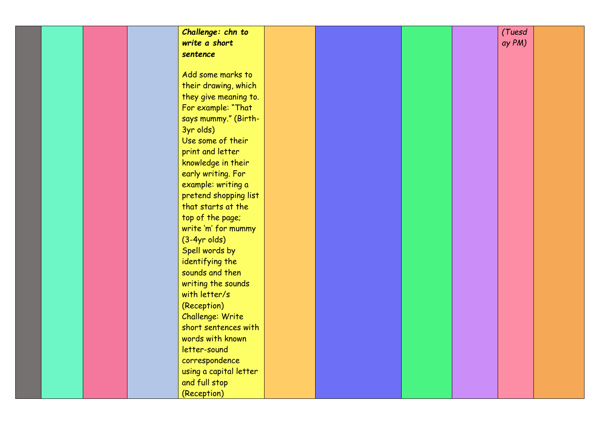| Challenge: chn to      |  |  | (Tuesd |  |
|------------------------|--|--|--------|--|
| write a short          |  |  | ay PM) |  |
| sentence               |  |  |        |  |
|                        |  |  |        |  |
| Add some marks to      |  |  |        |  |
| their drawing, which   |  |  |        |  |
| they give meaning to.  |  |  |        |  |
| For example: "That     |  |  |        |  |
| says mummy." (Birth-   |  |  |        |  |
| 3yr olds)              |  |  |        |  |
| Use some of their      |  |  |        |  |
| print and letter       |  |  |        |  |
| knowledge in their     |  |  |        |  |
| early writing. For     |  |  |        |  |
| example: writing a     |  |  |        |  |
| pretend shopping list  |  |  |        |  |
| that starts at the     |  |  |        |  |
| top of the page;       |  |  |        |  |
| write 'm' for mummy    |  |  |        |  |
| $(3-4yr$ olds)         |  |  |        |  |
| Spell words by         |  |  |        |  |
| identifying the        |  |  |        |  |
| sounds and then        |  |  |        |  |
| writing the sounds     |  |  |        |  |
| with letter/s          |  |  |        |  |
| (Reception)            |  |  |        |  |
| Challenge: Write       |  |  |        |  |
| short sentences with   |  |  |        |  |
| words with known       |  |  |        |  |
| letter-sound           |  |  |        |  |
| correspondence         |  |  |        |  |
| using a capital letter |  |  |        |  |
| and full stop          |  |  |        |  |
| (Reception)            |  |  |        |  |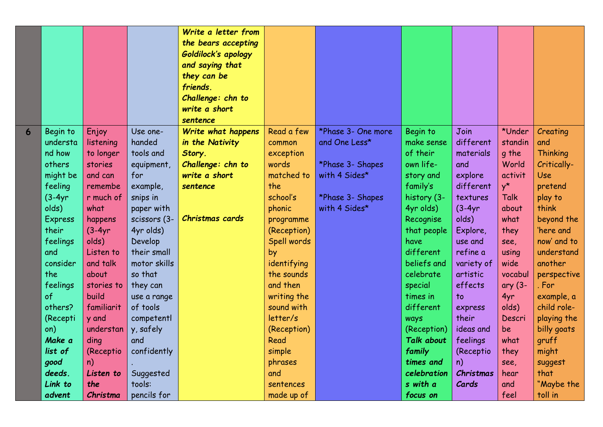|   |           |            |              | Write a letter from<br>the bears accepting<br>Goldilock's apology<br>and saying that<br>they can be<br>friends.<br>Challenge: chn to<br>write a short |             |                    |                   |            |             |             |
|---|-----------|------------|--------------|-------------------------------------------------------------------------------------------------------------------------------------------------------|-------------|--------------------|-------------------|------------|-------------|-------------|
|   |           |            |              | sentence                                                                                                                                              |             |                    |                   |            |             |             |
| 6 | Begin to  | Enjoy      | Use one-     | Write what happens                                                                                                                                    | Read a few  | *Phase 3- One more | Begin to          | Join       | *Under      | Creating    |
|   | understa  | listening  | handed       | in the Nativity                                                                                                                                       | common      | and One Less*      | make sense        | different  | standin     | and         |
|   | nd how    | to longer  | tools and    | Story.                                                                                                                                                | exception   |                    | of their          | materials  | g the       | Thinking    |
|   | others    | stories    | equipment,   | Challenge: chn to                                                                                                                                     | words       | *Phase 3- Shapes   | own life-         | and        | World       | Critically- |
|   | might be  | and can    | for          | write a short                                                                                                                                         | matched to  | with 4 Sides*      | story and         | explore    | activit     | Use         |
|   | feeling   | remembe    | example,     | sentence                                                                                                                                              | the         |                    | family's          | different  | $y^{\star}$ | pretend     |
|   | $(3-4yr)$ | r much of  | snips in     |                                                                                                                                                       | school's    | *Phase 3- Shapes   | history (3-       | textures   | <b>Talk</b> | play to     |
|   | olds)     | what       | paper with   |                                                                                                                                                       | phonic      | with 4 Sides*      | 4yr olds)         | $(3-4yr)$  | about       | think       |
|   | Express   | happens    | scissors (3- | Christmas cards                                                                                                                                       | programme   |                    | Recognise         | olds)      | what        | beyond the  |
|   | their     | $(3-4yr)$  | 4yr olds)    |                                                                                                                                                       | (Reception) |                    | that people       | Explore,   | they        | 'here and   |
|   | feelings  | olds)      | Develop      |                                                                                                                                                       | Spell words |                    | have              | use and    | see,        | now' and to |
|   | and       | Listen to  | their small  |                                                                                                                                                       | by          |                    | different         | refine a   | using       | understand  |
|   | consider  | and talk   | motor skills |                                                                                                                                                       | identifying |                    | beliefs and       | variety of | wide        | another     |
|   | the       | about      | so that      |                                                                                                                                                       | the sounds  |                    | celebrate         | artistic   | vocabul     | perspective |
|   | feelings  | stories to | they can     |                                                                                                                                                       | and then    |                    | special           | effects    | ary (3-     | . For       |
|   | of        | build      | use a range  |                                                                                                                                                       | writing the |                    | times in          | to         | 4yr         | example, a  |
|   | others?   | familiarit | of tools     |                                                                                                                                                       | sound with  |                    | different         | express    | olds)       | child role- |
|   | (Recepti  | y and      | competentl   |                                                                                                                                                       | letter/s    |                    | ways              | their      | Descri      | playing the |
|   | on)       | understan  | y, safely    |                                                                                                                                                       | (Reception) |                    | (Reception)       | ideas and  | be          | billy goats |
|   | Make a    | ding       | and          |                                                                                                                                                       | Read        |                    | <b>Talk about</b> | feelings   | what        | gruff       |
|   | list of   | (Receptio  | confidently  |                                                                                                                                                       | simple      |                    | family            | (Receptio  | they        | might       |
|   | good      | n)         |              |                                                                                                                                                       | phrases     |                    | times and         | n)         | see,        | suggest     |
|   | deeds.    | Listen to  | Suggested    |                                                                                                                                                       | and         |                    | celebration       | Christmas  | hear        | that        |
|   | Link to   | the        | tools:       |                                                                                                                                                       | sentences   |                    | s with a          | Cards      | and         | "Maybe the  |
|   | advent    | Christma   | pencils for  |                                                                                                                                                       | made up of  |                    | focus on          |            | feel        | toll in     |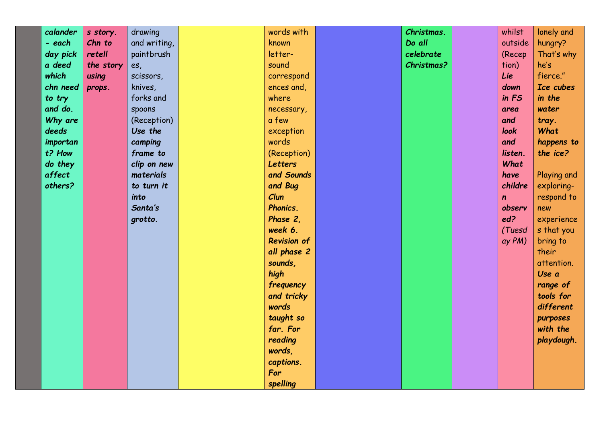| calander | s story.  | drawing      | words with         | Christmas. | whilst      | lonely and  |
|----------|-----------|--------------|--------------------|------------|-------------|-------------|
| - each   | Chn to    | and writing, | known              | Do all     | outside     | hungry?     |
| day pick | retell    | paintbrush   | letter-            | celebrate  | (Recep      | That's why  |
| a deed   | the story | es,          | sound              | Christmas? | tion)       | he's        |
| which    | using     | scissors,    | correspond         |            | Lie         | fierce."    |
| chn need | props.    | knives,      | ences and,         |            | down        | Ice cubes   |
| to try   |           | forks and    | where              |            | in FS       | in the      |
| and do.  |           | spoons       | necessary,         |            | area        | water       |
| Why are  |           | (Reception)  | a few              |            | and         | tray.       |
| deeds    |           | Use the      | exception          |            | look        | What        |
| importan |           | camping      | words              |            | and         | happens to  |
| t? How   |           | frame to     | (Reception)        |            | listen.     | the ice?    |
| do they  |           | clip on new  | Letters            |            | What        |             |
| affect   |           | materials    | and Sounds         |            | have        | Playing and |
| others?  |           | to turn it   | and Bug            |            | childre     | exploring-  |
|          |           | into         | Clun               |            | $\mathbf n$ | respond to  |
|          |           | Santa's      | Phonics.           |            | observ      | new         |
|          |           | grotto.      | Phase 2,           |            | ed?         | experience  |
|          |           |              | week 6.            |            | (Tuesd      | s that you  |
|          |           |              | <b>Revision of</b> |            | ay PM)      | bring to    |
|          |           |              | all phase 2        |            |             | their       |
|          |           |              | sounds,            |            |             | attention.  |
|          |           |              | high               |            |             | Use a       |
|          |           |              | frequency          |            |             | range of    |
|          |           |              | and tricky         |            |             | tools for   |
|          |           |              | words              |            |             | different   |
|          |           |              | taught so          |            |             | purposes    |
|          |           |              | far. For           |            |             | with the    |
|          |           |              | reading            |            |             | playdough.  |
|          |           |              | words,             |            |             |             |
|          |           |              | captions.          |            |             |             |
|          |           |              | For                |            |             |             |
|          |           |              | spelling           |            |             |             |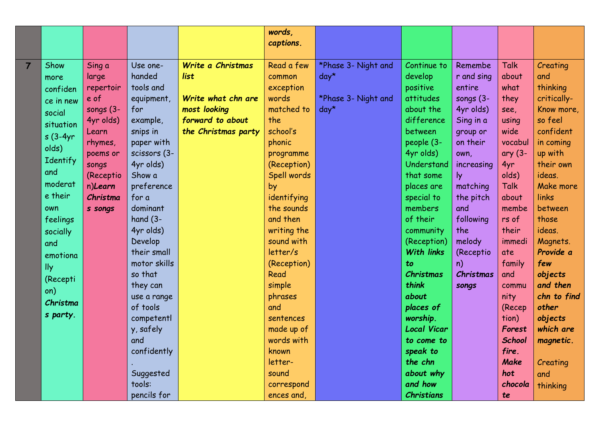|                |            |           |              |                     | words,      |                     |                    |              |               |             |
|----------------|------------|-----------|--------------|---------------------|-------------|---------------------|--------------------|--------------|---------------|-------------|
|                |            |           |              |                     | captions.   |                     |                    |              |               |             |
|                |            |           |              |                     |             |                     |                    |              |               |             |
| $\overline{7}$ | Show       | Sing a    | Use one-     | Write a Christmas   | Read a few  | *Phase 3- Night and | Continue to        | Remembe      | <b>Talk</b>   | Creating    |
|                | more       | large     | handed       | list                | common      | $day*$              | develop            | r and sing   | about         | and         |
|                | confiden   | repertoir | tools and    |                     | exception   |                     | positive           | entire       | what          | thinking    |
|                | ce in new  | e of      | equipment,   | Write what chn are  | words       | *Phase 3- Night and | attitudes          | songs $(3 -$ | they          | critically- |
|                | social     | songs (3- | for          | most looking        | matched to  | $day*$              | about the          | 4yr olds)    | see,          | Know more,  |
|                | situation  | 4yr olds) | example,     | forward to about    | the         |                     | difference         | Sing in a    | using         | so feel     |
|                | $s(3-4yr)$ | Learn     | snips in     | the Christmas party | school's    |                     | between            | group or     | wide          | confident   |
|                | olds)      | rhymes,   | paper with   |                     | phonic      |                     | people (3-         | on their     | vocabul       | in coming   |
|                | Identify   | poems or  | scissors (3- |                     | programme   |                     | 4yr olds)          | own,         | ary $(3 -$    | up with     |
|                |            | songs     | 4yr olds)    |                     | (Reception) |                     | Understand         | increasing   | 4yr           | their own   |
|                | and        | (Receptio | Show a       |                     | Spell words |                     | that some          | ly.          | olds)         | ideas.      |
|                | moderat    | n)Learn   | preference   |                     | by          |                     | places are         | matching     | <b>Talk</b>   | Make more   |
|                | e their    | Christma  | for a        |                     | identifying |                     | special to         | the pitch    | about         | links       |
|                | own        | s songs   | dominant     |                     | the sounds  |                     | members            | and          | membe         | between     |
|                | feelings   |           | hand $(3 -$  |                     | and then    |                     | of their           | following    | rs of         | those       |
|                | socially   |           | 4yr olds)    |                     | writing the |                     | community          | the          | their         | ideas.      |
|                | and        |           | Develop      |                     | sound with  |                     | (Reception)        | melody       | immedi        | Magnets.    |
|                | emotiona   |           | their small  |                     | letter/s    |                     | <b>With links</b>  | (Receptio    | ate           | Provide a   |
|                | lly        |           | motor skills |                     | (Reception) |                     | to                 | n)           | family        | few         |
|                | (Recepti   |           | so that      |                     | Read        |                     | Christmas          | Christmas    | and           | objects     |
|                | on)        |           | they can     |                     | simple      |                     | think              | songs        | commu         | and then    |
|                | Christma   |           | use a range  |                     | phrases     |                     | about              |              | nity          | chn to find |
|                | s party.   |           | of tools     |                     | and         |                     | places of          |              | (Recep        | other       |
|                |            |           | competentl   |                     | sentences   |                     | worship.           |              | tion)         | objects     |
|                |            |           | y, safely    |                     | made up of  |                     | <b>Local Vicar</b> |              | Forest        | which are   |
|                |            |           | and          |                     | words with  |                     | to come to         |              | <b>School</b> | magnetic.   |
|                |            |           | confidently  |                     | known       |                     | speak to           |              | fire.         |             |
|                |            |           |              |                     | letter-     |                     | the chn            |              | Make          | Creating    |
|                |            |           | Suggested    |                     | sound       |                     | about why          |              | hot           | and         |
|                |            |           | tools:       |                     | correspond  |                     | and how            |              | chocola       | thinking    |
|                |            |           | pencils for  |                     | ences and,  |                     | <b>Christians</b>  |              | te            |             |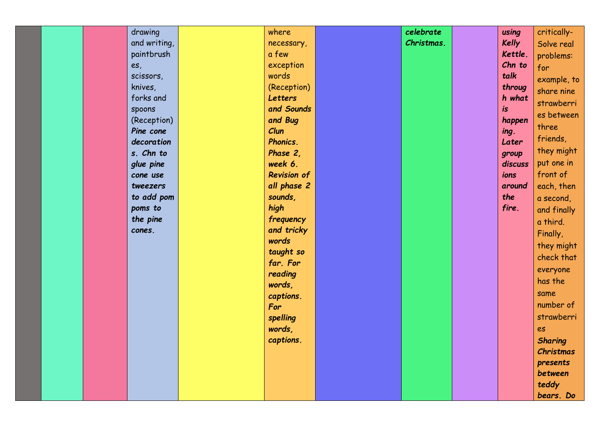| drawing      | where              | celebrate  | using        | critically-    |
|--------------|--------------------|------------|--------------|----------------|
| and writing, | necessary,         | Christmas. | <b>Kelly</b> | Solve real     |
| paintbrush   | a few              |            | Kettle.      | problems:      |
| es,          | exception          |            | Chn to       | for            |
| scissors,    | words              |            | talk         | example, to    |
| knives,      | (Reception)        |            | throug       | share nine     |
| forks and    | Letters            |            | h what       | strawberri     |
| spoons       | and Sounds         |            | is           | es between     |
| (Reception)  | and Bug            |            | happen       | three          |
| Pine cone    | Clun               |            | ing.         |                |
| decoration   | Phonics.           |            | Later        | friends,       |
| s. Chn to    | Phase 2,           |            | group        | they might     |
| glue pine    | week 6.            |            | discuss      | put one in     |
| cone use     | <b>Revision of</b> |            | ions         | front of       |
| tweezers     | all phase 2        |            | around       | each, then     |
| to add pom   | sounds,            |            | the          | a second,      |
| poms to      | high               |            | fire.        | and finally    |
| the pine     | frequency          |            |              | a third.       |
| cones.       | and tricky         |            |              | Finally,       |
|              | words              |            |              | they might     |
|              | taught so          |            |              | check that     |
|              | far. For           |            |              | everyone       |
|              | reading            |            |              | has the        |
|              | words,             |            |              | same           |
|              | captions.          |            |              | number of      |
|              | For                |            |              | strawberri     |
|              | spelling           |            |              |                |
|              | words,             |            |              | es             |
|              | captions.          |            |              | <b>Sharing</b> |
|              |                    |            |              | Christmas      |
|              |                    |            |              | presents       |
|              |                    |            |              | between        |
|              |                    |            |              | teddy          |
|              |                    |            |              | bears. Do      |